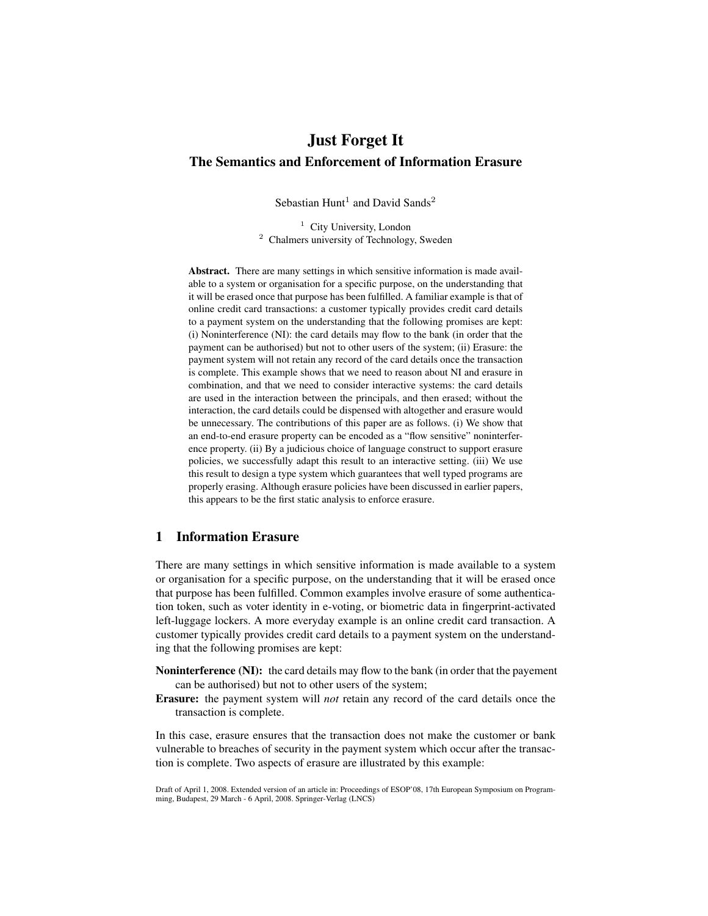# Just Forget It

# The Semantics and Enforcement of Information Erasure

Sebastian  $Hunt<sup>1</sup>$  and David Sands<sup>2</sup>

<sup>1</sup> City University, London <sup>2</sup> Chalmers university of Technology, Sweden

Abstract. There are many settings in which sensitive information is made available to a system or organisation for a specific purpose, on the understanding that it will be erased once that purpose has been fulfilled. A familiar example is that of online credit card transactions: a customer typically provides credit card details to a payment system on the understanding that the following promises are kept: (i) Noninterference (NI): the card details may flow to the bank (in order that the payment can be authorised) but not to other users of the system; (ii) Erasure: the payment system will not retain any record of the card details once the transaction is complete. This example shows that we need to reason about NI and erasure in combination, and that we need to consider interactive systems: the card details are used in the interaction between the principals, and then erased; without the interaction, the card details could be dispensed with altogether and erasure would be unnecessary. The contributions of this paper are as follows. (i) We show that an end-to-end erasure property can be encoded as a "flow sensitive" noninterference property. (ii) By a judicious choice of language construct to support erasure policies, we successfully adapt this result to an interactive setting. (iii) We use this result to design a type system which guarantees that well typed programs are properly erasing. Although erasure policies have been discussed in earlier papers, this appears to be the first static analysis to enforce erasure.

# 1 Information Erasure

There are many settings in which sensitive information is made available to a system or organisation for a specific purpose, on the understanding that it will be erased once that purpose has been fulfilled. Common examples involve erasure of some authentication token, such as voter identity in e-voting, or biometric data in fingerprint-activated left-luggage lockers. A more everyday example is an online credit card transaction. A customer typically provides credit card details to a payment system on the understanding that the following promises are kept:

- **Noninterference (NI):** the card details may flow to the bank (in order that the payement can be authorised) but not to other users of the system;
- Erasure: the payment system will *not* retain any record of the card details once the transaction is complete.

In this case, erasure ensures that the transaction does not make the customer or bank vulnerable to breaches of security in the payment system which occur after the transaction is complete. Two aspects of erasure are illustrated by this example: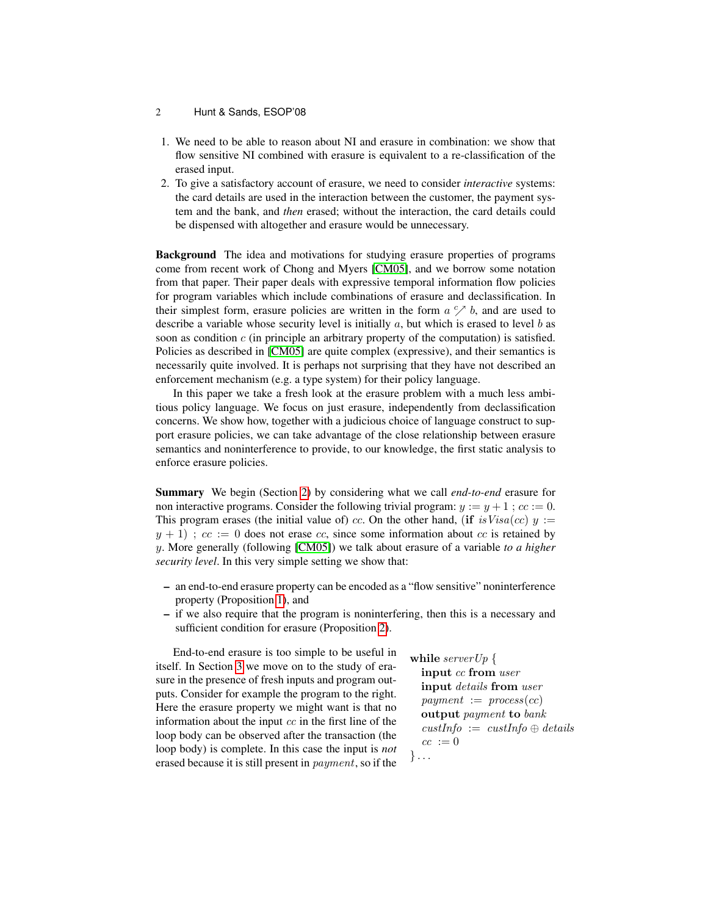- 1. We need to be able to reason about NI and erasure in combination: we show that flow sensitive NI combined with erasure is equivalent to a re-classification of the erased input.
- 2. To give a satisfactory account of erasure, we need to consider *interactive* systems: the card details are used in the interaction between the customer, the payment system and the bank, and *then* erased; without the interaction, the card details could be dispensed with altogether and erasure would be unnecessary.

Background The idea and motivations for studying erasure properties of programs come from recent work [of Cho](#page-20-0)ng and Myers [CM05], and we borrow some notation from that paper. Their paper deals with expressive temporal information flow policies for program variables which include combinations of erasure and declassification. In their simplest form, erasure policies are written in the form  $a \sim b$ , and are used to describe a variable whose security level is initially  $a$ , but which is erased to level  $b$  as soon as condition  $c$  (in principle an arbitrary property of the computation) is satisfied. P[olicies](#page-20-0) as described in [CM05] are quite complex (expressive), and their semantics is necessarily quite involved. It is perhaps not surprising that they have not described an enforcement mechanism (e.g. a type system) for their policy language.

In this paper we take a fresh look at the erasure problem with a much less ambitious policy language. We focus on just erasure, independently from declassification concerns. We show how, together with a judicious choice of language construct to support erasure policies, we can take advantage of the close relationship between erasure semantics and noninterference to provide, to our knowledge, the first static analysis to enforce erasure policies.

Summa[ry](#page-2-0) We begin (Section 2) by considering what we call *end-to-end* erasure for non interactive programs. Consider the following trivial program:  $y := y + 1$ ;  $cc := 0$ . This program erases (the initial value of) cc. On the other hand, (if is  $Visa(cc)$   $y :=$  $y + 1$ );  $cc := 0$  does not erase cc, since some information about cc is retained by y. Mor[e genera](#page-20-0)lly (following [CM05]) we talk about erasure of a variable *to a higher security level*. In this very simple setting we show that:

- an end-to-end erasure property can be encoded as a "flow sensitive" noninterference [p](#page-4-0)roperty (Proposition 1), and
- if we also require that the program is noninterfering, then this is a necessary and sufficient condition f[or](#page-4-1) erasure (Proposition 2).

End-to-end erasure is too simple to be useful in itself. In Section 3 we move on to the study of erasure in the presence of fresh inputs and program outputs. Consider for example the program to the right. Here the erasure property we might want is that no information about the input  $cc$  in the first line of the loop body can be observed after the transaction (the loop body) is complete. In this case the input is *not* erased because it is still present in payment, so if the

while server  $Up \{$ input cc from user input details from user  $payment := process(cc)$ output payment to bank  $\textit{custInfo} := \textit{custInfo} \oplus \textit{details}$  $cc := 0$  $\}$ ...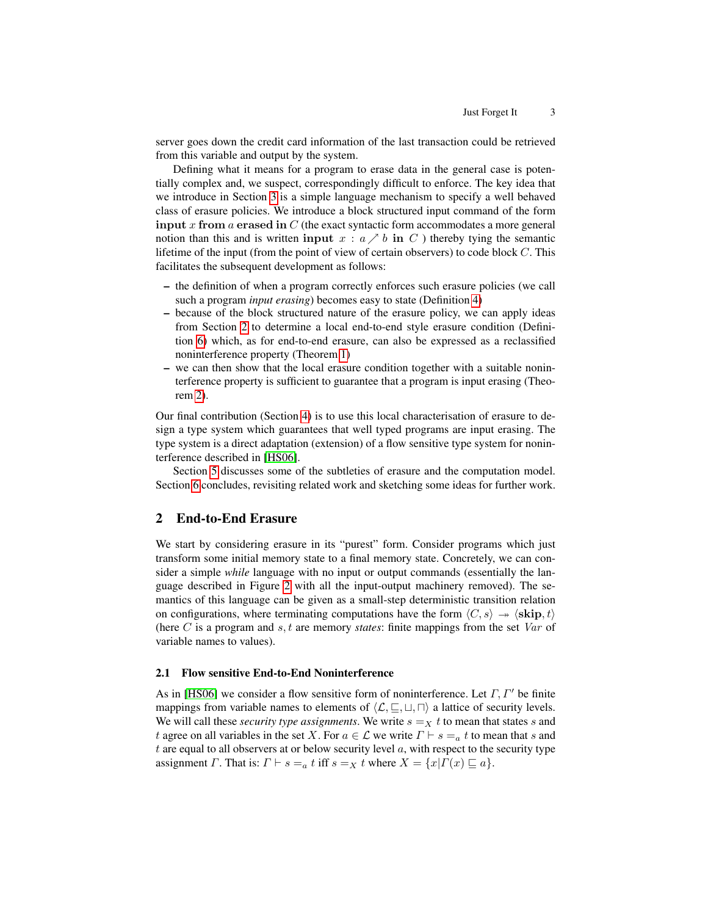server goes down the credit card information of the last transaction could be retrieved from this variable and output by the system.

Defining what it means for a program to erase data in the general case is potentially complex and, we suspect, correspondingly difficult to enforce. The key idea that [we](#page-4-2) introduce in Section 3 is a simple language mechanism to specify a well behaved class of erasure policies. We introduce a block structured input command of the form input x from a erased in  $C$  (the exact syntactic form accommodates a more general notion than this and is written input  $x : a \nearrow b$  in C ) thereby tying the semantic lifetime of the input (from the point of view of certain observers) to code block C. This facilitates the subsequent development as follows:

- the definition of when a program correctly enforces such erasure policies (we call such a program *input erasing*) becomes e[as](#page-6-0)y to state (Definition 4)
- because of the block structured nature of the erasure policy, we can apply ideas from Section 2 to determine a local end-to-end style erasure condition (Definition 6) which, as for end-to-end erasure, can also be expressed as a reclassified noninterfere[nc](#page-9-0)e property (Theorem 1)
- we can then show that the local erasure condition together with a suitable noninterference property is sufficient to guarantee that a program is input erasing (Theorem 2).

Our fin[al c](#page-11-0)ontribution (Section 4) is to use this local characterisation of erasure to design a type system which guarantees that well typed programs are input erasing. The type system is a direct adaptation (extension) of a flow sensitive type system for nonint[erferen](#page-20-1)ce described in [HS06].

Section 5 discusses some of the subtleties of erasure and the computation model. Section 6 concludes, revisiting related work and sketching some ideas for further work.

# <span id="page-2-0"></span>2 End-to-End Erasure

We start by considering erasure in its "purest" form. Consider programs which just transform some initial memory state to a final memory state. Concretely, we can consider a simple *while* language with no input or output commands (essentially the langua[ge](#page-6-1) described in Figure 2 with all the input-output machinery removed). The semantics of this language can be given as a small-step deterministic transition relation on configurations, where terminating computations have the form  $\langle C, s \rangle \rightarrow \langle \mathbf{skip}, t \rangle$ (here C is a program and s, t are memory *states*: finite mappings from the set Var of variable names to values).

### 2.1 Flow sensitive End-to-End Noninterference

<span id="page-2-1"></span>As in [HS06] we consider a flow sensitive form of noninterference. Let  $\Gamma, \Gamma'$  be finite mappings from variable names to elements of  $\langle \mathcal{L}, \square, \square, \square \rangle$  a lattice of security levels. We will call these *security type assignments*. We write  $s =<sub>X</sub> t$  to mean that states s and t agree on all variables in the set X. For  $a \in \mathcal{L}$  we write  $\Gamma \vdash s = a t$  to mean that s and  $t$  are equal to all observers at or below security level  $a$ , with respect to the security type assignment  $\Gamma$ . That is:  $\Gamma \vdash s = a t$  iff  $s = x t$  where  $X = \{x | \Gamma(x) \sqsubseteq a\}.$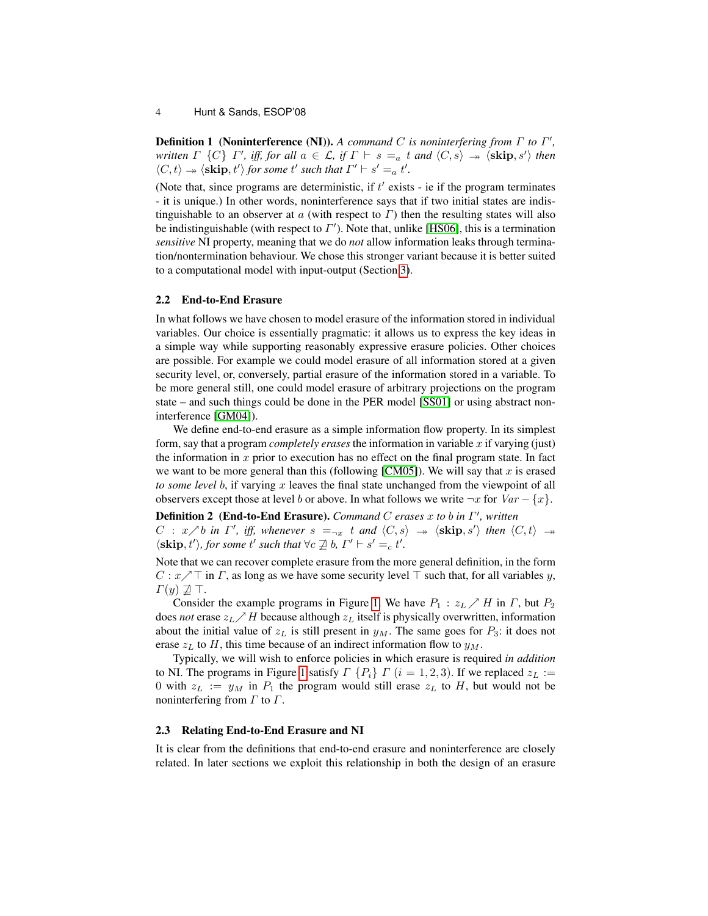**Definition 1** (Noninterference (NI)). A command C is noninterfering from  $\Gamma$  to  $\Gamma'$ , *written*  $\Gamma$   $\{C\}$   $\Gamma'$ , *iff, for all*  $a \in \mathcal{L}$ , *if*  $\Gamma \vdash s =_a t$  *and*  $\langle C, s \rangle \rightarrow \langle \mathbf{skip}, s' \rangle$  *then*  $\langle C, t \rangle \rightarrow \langle \mathbf{skip}, t' \rangle$  *for some* t' such that  $\Gamma' \vdash s' =_a t'.$ 

(Note that, since programs are deterministic, if  $t'$  exists - ie if the program terminates - it is unique.) In other words, noninterference says that if two initial states are indistinguishable to an observer at  $\alpha$  (w[ith resp](#page-20-1)ect to  $\Gamma$ ) then the resulting states will also be indistinguishable (with respect to  $\Gamma'$ ). Note that, unlike [HS06], this is a termination *sensitive* NI property, meaning that we do *not* allow information leaks through termination/nontermination behaviour. We chose this stronger variant because it is better suited to a computational model wit[h i](#page-4-2)nput-output (Section 3).

#### 2.2 End-to-End Erasure

In what follows we have chosen to model erasure of the information stored in individual variables. Our choice is essentially pragmatic: it allows us to express the key ideas in a simple way while supporting reasonably expressive erasure policies. Other choices are possible. For example we could model erasure of all information stored at a given security level, or, conversely, partial erasure of the information stored in a variable. To be more general still, one could model erasure of arbitrary projections on the program state – and such things could be d[one in](#page-20-2) the PER model [SS01] or using abstract noninterference [GM04]).

We define end-to-end erasure as a simple information flow property. In its simplest form, say that a program *completely erases* the information in variable  $x$  if varying (just) the information in  $x$  prior to execution has no effect on the final program state. In fact we want to be more gener[al than](#page-20-0) this (following [CM05]). We will say that  $x$  is erased *to some level* b, if varying x leaves the final state unchanged from the viewpoint of all observers except those at level b or above. In what follows we write  $\neg x$  for  $Var - \{x\}$ .

<span id="page-3-0"></span>**Definition 2 (End-to-End Erasure).** *Command C erases x to b in Γ'*, written

 $C : x \nearrow b$  *in*  $\Gamma'$ , *iff, whenever*  $s =_{\neg x} t$  *and*  $\langle C, s \rangle \rightarrow$   $\langle \textbf{skip}, s' \rangle$  *then*  $\langle C, t \rangle \rightarrow$  $\langle$ **skip**, *t'), for some t' such that*  $\forall$ *c*  $\not\equiv$  *b*, *Γ'*  $\vdash$  *s'* =*<sub>c</sub> t'.* 

Note that we can recover complete erasure from the more general definition, in the form  $C: x \nearrow \top$  in  $\Gamma$ , as long as we have some security level  $\top$  such that, for all variables y,  $\Gamma(y) \not\supseteq \top$ .

Consider the exam[ple](#page-4-3) programs in Figure 1. We have  $P_1 : z_L \nearrow H$  in  $\Gamma$ , but  $P_2$ does *not* erase  $z_L \nearrow H$  because although  $z_L$  itself is physically overwritten, information about the initial value of  $z_L$  is still present in  $y_M$ . The same goes for  $P_3$ : it does not erase  $z_L$  to H, this time because of an indirect information flow to  $y_M$ .

Typically, we will wish to enforce policies in which erasure is required *in addition* to NI. [The](#page-4-3) programs in Figure 1 satisfy  $\Gamma$  { $P_i$ }  $\Gamma$  ( $i = 1, 2, 3$ ). If we replaced  $z_L :=$ 0 with  $z_L := y_M$  in  $P_1$  the program would still erase  $z_L$  to H, but would not be noninterfering from  $\Gamma$  to  $\Gamma$ .

#### 2.3 Relating End-to-End Erasure and NI

It is clear from the definitions that end-to-end erasure and noninterference are closely related. In later sections we exploit this relationship in both the design of an erasure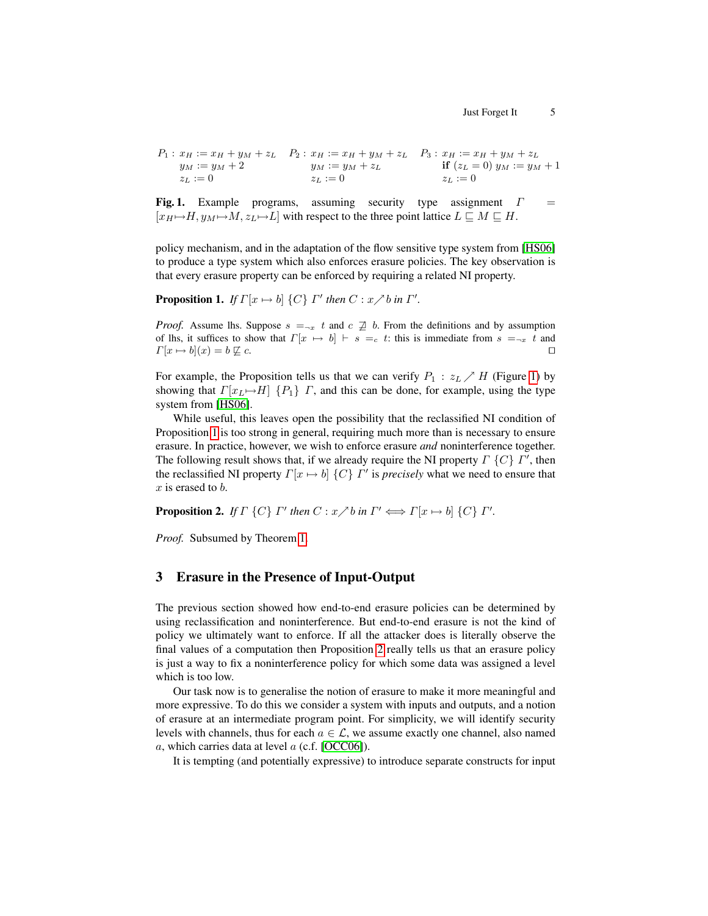$$
P_1: x_H := x_H + y_M + z_L \t P_2: x_H := x_H + y_M + z_L \t P_3: x_H := x_H + y_M + z_L \n y_M := y_M + 2 \t y_M := y_M + z_L \t \text{if } (z_L = 0) \t y_M := y_M + 1 \n z_L := 0 \t z_L := 0
$$

<span id="page-4-3"></span>Fig. 1. Example programs, assuming security type assignment  $\Gamma$  =  $[x_H \mapsto H, y_M \mapsto M, z_L \mapsto L]$  with respect to the three point lattice  $L \sqsubseteq M \sqsubseteq H$ .

<span id="page-4-0"></span>policy mechanism, and in the adaptation of the flow sens[itive ty](#page-20-1)pe system from [HS06] to produce a type system which also enforces erasure policies. The key observation is that every erasure property can be enforced by requiring a related NI property.

**Proposition 1.** *If*  $\Gamma[x \mapsto b]$  {C}  $\Gamma'$  *then*  $C : x \nearrow b$  *in*  $\Gamma'$ *.* 

*Proof.* Assume lhs. Suppose  $s =_{\neg x} t$  and  $c \not\supseteq b$ . From the definitions and by assumption of lhs, it suffices to show that  $\Gamma[x \mapsto b] \vdash s =_c t$ : this is immediate from  $s =_{\neg x} t$  and  $\Gamma[x \mapsto b](x) = b \not\sqsubseteq c.$ 

For example, the [P](#page-4-3)roposition tells us that we can verify  $P_1$  :  $z_L \nearrow H$  (Figure 1) by showing that  $\Gamma[x_L \mapsto H]$  {P<sub>1</sub>} Γ, and this can be done, for example, using the type system from [HS06].

While useful, this leaves open the possibility that the reclassified NI condition of Proposition 1 is too strong in general, requiring much more than is necessary to ensure erasure. In practice, however, we wish to enforce erasure *and* noninterference together. The following result shows that, if we already require the NI property  $\Gamma$  {C}  $\Gamma'$ , then the reclassified NI property  $\Gamma[x \mapsto b]$  {C}  $\Gamma'$  is *precisely* what we need to ensure that  $x$  is erased to  $b$ .

<span id="page-4-1"></span>**Proposition 2.** *If*  $\Gamma$  {C}  $\Gamma'$  *then*  $C : x \nearrow b$  *in*  $\Gamma' \iff \Gamma[x \mapsto b]$  {C}  $\Gamma'$ *.* 

*Proof.* [Su](#page-9-0)bsumed by Theorem 1.

# <span id="page-4-2"></span>3 Erasure in the Presence of Input-Output

The previous section showed how end-to-end erasure policies can be determined by using reclassification and noninterference. But end-to-end erasure is not the kind of policy we ultimately want to enforce. If all the attacker does is literally observe the final values of a compu[tat](#page-4-1)ion then Proposition 2 really tells us that an erasure policy is just a way to fix a noninterference policy for which some data was assigned a level which is too low.

Our task now is to generalise the notion of erasure to make it more meaningful and more expressive. To do this we consider a system with inputs and outputs, and a notion of erasure at an intermediate program point. For simplicity, we will identify security levels with channels, thus for each  $a \in \mathcal{L}$ , we assume exactly one channel, also named a, which carr[ies data a](#page-20-3)t level  $\alpha$  (c.f. [OCC06]).

It is tempting (and potentially expressive) to introduce separate constructs for input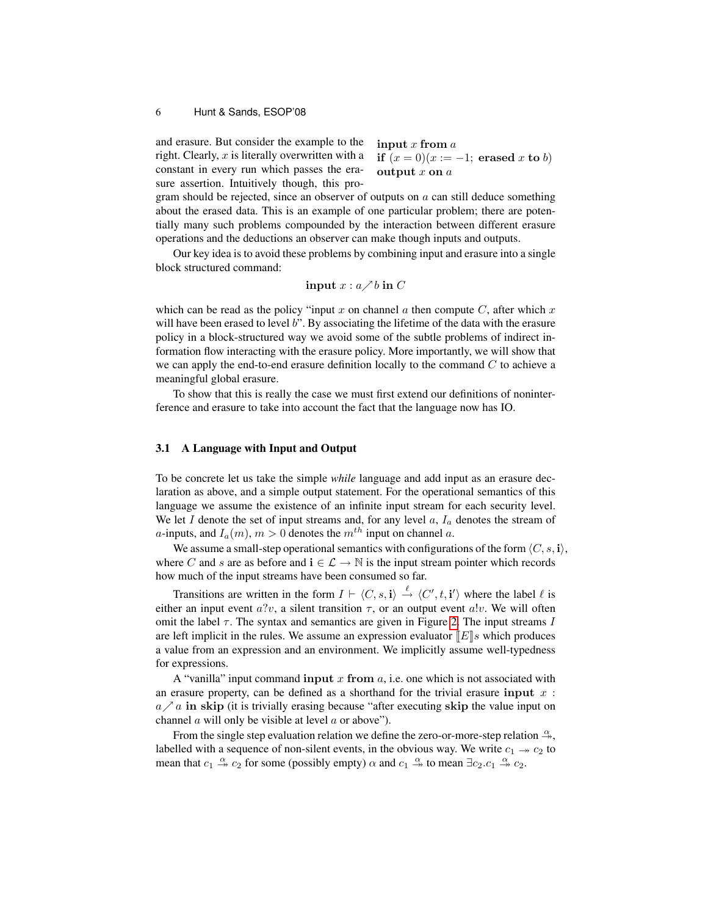and erasure. But consider the example to the right. Clearly,  $x$  is literally overwritten with a constant in every run which passes the erasure assertion. Intuitively though, this pro-

input  $x$  from  $a$ if  $(x = 0)(x := -1$ ; erased x to b) output  $x$  on  $a$ 

gram should be rejected, since an observer of outputs on  $a$  can still deduce something about the erased data. This is an example of one particular problem; there are potentially many such problems compounded by the interaction between different erasure operations and the deductions an observer can make though inputs and outputs.

Our key idea is to avoid these problems by combining input and erasure into a single block structured command:

$$
input x : a \nearrow b \text{ in } C
$$

which can be read as the policy "input x on channel  $\alpha$  then compute  $C$ , after which x will have been erased to level b". By associating the lifetime of the data with the erasure policy in a block-structured way we avoid some of the subtle problems of indirect information flow interacting with the erasure policy. More importantly, we will show that we can apply the end-to-end erasure definition locally to the command  $C$  to achieve a meaningful global erasure.

To show that this is really the case we must first extend our definitions of noninterference and erasure to take into account the fact that the language now has IO.

#### 3.1 A Language with Input and Output

To be concrete let us take the simple *while* language and add input as an erasure declaration as above, and a simple output statement. For the operational semantics of this language we assume the existence of an infinite input stream for each security level. We let I denote the set of input streams and, for any level  $a$ ,  $I_a$  denotes the stream of a-inputs, and  $I_a(m)$ ,  $m > 0$  denotes the  $m<sup>th</sup>$  input on channel a.

We assume a small-step operational semantics with configurations of the form  $\langle C, s, i \rangle$ , where C and s are as before and  $\mathbf{i} \in \mathcal{L} \to \mathbb{N}$  is the input stream pointer which records how much of the input streams have been consumed so far.

Transitions are written in the form  $I \vdash \langle C, s, \mathbf{i} \rangle \stackrel{\ell}{\rightarrow} \langle C', t, \mathbf{i}' \rangle$  where the label  $\ell$  is either an input event  $a$ ?v, a silent transition  $\tau$ , or an output event  $a!v$ . We will often omit the label  $\tau$ . The syntax and semant[ic](#page-6-1)s are given in Figure 2. The input streams I are left implicit in the rules. We assume an expression evaluator  $[**E**]*s*$  which produces a value from an expression and an environment. We implicitly assume well-typedness for expressions.

A "vanilla" input command input  $x$  from  $a$ , i.e. one which is not associated with an erasure property, can be defined as a shorthand for the trivial erasure input  $x$ :  $a \nearrow a$  in skip (it is trivially erasing because "after executing skip the value input on channel  $\alpha$  will only be visible at level  $\alpha$  or above").

From the single step evaluation relation we define the zero-or-more-step relation  $\frac{\alpha}{r}$ , labelled with a sequence of non-silent events, in the obvious way. We write  $c_1 \rightarrow c_2$  to mean that  $c_1 \stackrel{\alpha}{\rightarrow} c_2$  for some (possibly empty)  $\alpha$  and  $c_1 \stackrel{\alpha}{\rightarrow}$  to mean  $\exists c_2.c_1 \stackrel{\alpha}{\rightarrow} c_2$ .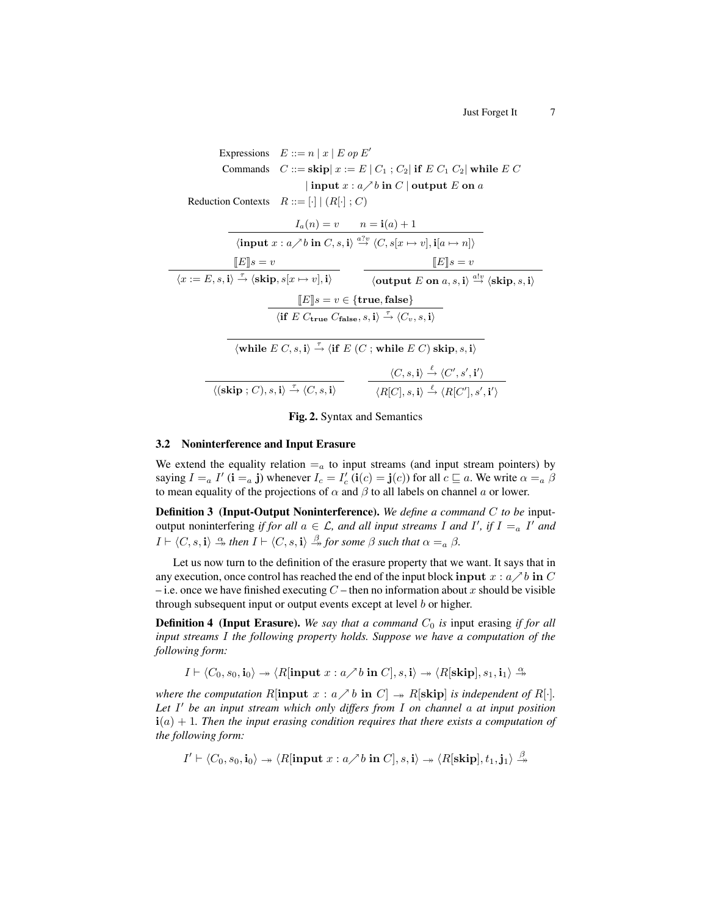Expressions

\n
$$
E ::= n | x | E op E'
$$
\nCommands

\n
$$
C ::= \text{skip} | x := E | C_1 ; C_2 | \text{ if } E C_1 C_2 | \text{ while } E C
$$
\n
$$
= \text{input } x : a \nearrow b \text{ in } C | \text{ output } E \text{ on } a
$$
\nReduction contexts

\n
$$
R ::= [\cdot] | (R[\cdot] ; C)
$$
\n
$$
I_a(n) = v \qquad n = \textbf{i}(a) + 1
$$
\n
$$
\langle \text{input } x : a \nearrow b \text{ in } C, s, \textbf{i} \rangle \xrightarrow{a?v} \langle C, s[x \mapsto v], \textbf{i}[a \mapsto n] \rangle
$$
\n
$$
E[s = v \qquad [E] s = v \qquad [E] s = v
$$
\n
$$
\langle x := E, s, \textbf{i} \rangle \xrightarrow{\tau} \langle \text{skip}, s[x \mapsto v], \textbf{i} \rangle
$$
\n
$$
E[s = v \in \{\text{true}, \text{false}\}
$$
\n
$$
\langle \text{if } E C_{\text{true}} C_{\text{false}}, s, \textbf{i} \rangle \xrightarrow{\tau} \langle C_v, s, \textbf{i} \rangle
$$
\n
$$
\langle \text{while } E C, s, \textbf{i} \rangle \xrightarrow{\tau} \langle \text{if } E (C ; \text{while } E C) \text{ skip}, s, \textbf{i} \rangle
$$
\n
$$
\langle (\text{skip } ; C), s, \textbf{i} \rangle \xrightarrow{\tau} \langle C, s, \textbf{i} \rangle
$$
\n
$$
\langle R[C], s, \textbf{i} \rangle \xrightarrow{\ell} \langle R[C'], s', \textbf{i}' \rangle
$$

<span id="page-6-1"></span><span id="page-6-0"></span>Fig. 2. Syntax and Semantics

### 3.2 Noninterference and Input Erasure

We extend the equality relation  $=$ <sub>a</sub> to input streams (and input stream pointers) by saying  $I =_a I'$  (**i**  $=_a$  **j**) whenever  $I_c = I'_c$  (**i**(*c*) = **j**(*c*)) for all  $c \sqsubseteq a$ . We write  $\alpha =_a \beta$ to mean equality of the projections of  $\alpha$  and  $\beta$  to all labels on channel a or lower.

<span id="page-6-2"></span>Definition 3 (Input-Output Noninterference). *We define a command* C *to be* inputoutput noninterfering *if for all*  $a \in \mathcal{L}$ , and all input streams I and I', if  $I = a$  I' and  $I \vdash \langle C, s, \mathbf{i} \rangle \stackrel{\alpha}{\twoheadrightarrow}$  then  $I \vdash \langle C, s, \mathbf{i} \rangle \stackrel{\beta}{\twoheadrightarrow}$  for some  $\beta$  such that  $\alpha =_a \beta$ .

Let us now turn to the definition of the erasure property that we want. It says that in any execution, once control has reached the end of the input block input  $x : a \nearrow b$  in C – i.e. once we have finished executing  $C$  – then no information about x should be visible through subsequent input or output events except at level  $b$  or higher.

**Definition 4 (Input Erasure).** We say that a command  $C_0$  is input erasing if for all *input streams* I *the following property holds. Suppose we have a computation of the following form:*

$$
I \vdash \langle C_0, s_0, \mathbf{i}_0 \rangle \rightarrow \langle R[\textbf{input } x : a \nearrow b \textbf{ in } C], s, \mathbf{i} \rangle \rightarrow \langle R[\textbf{skip}], s_1, \mathbf{i}_1 \rangle \stackrel{\alpha}{\rightarrow}
$$

*where the computation*  $R$ [**input**  $x : a \nearrow b$  **in**  $C$ ]  $\rightarrow$   $R$ [**skip**] *is independent of*  $R[\cdot]$ *. Let* I <sup>0</sup> *be an input stream which only differs from* I *on channel* a *at input position*  $\mathbf{i}(a) + 1$ . Then the input erasing condition requires that there exists a computation of *the following form:*

$$
I' \vdash \langle C_0, s_0, \mathbf{i}_0 \rangle \twoheadrightarrow \langle R[\textbf{input } x: a \nearrow b \textbf{ in } C], s, \mathbf{i} \rangle \twoheadrightarrow \langle R[\textbf{skip}], t_1, \mathbf{j}_1 \rangle \stackrel{\beta}{\twoheadrightarrow}
$$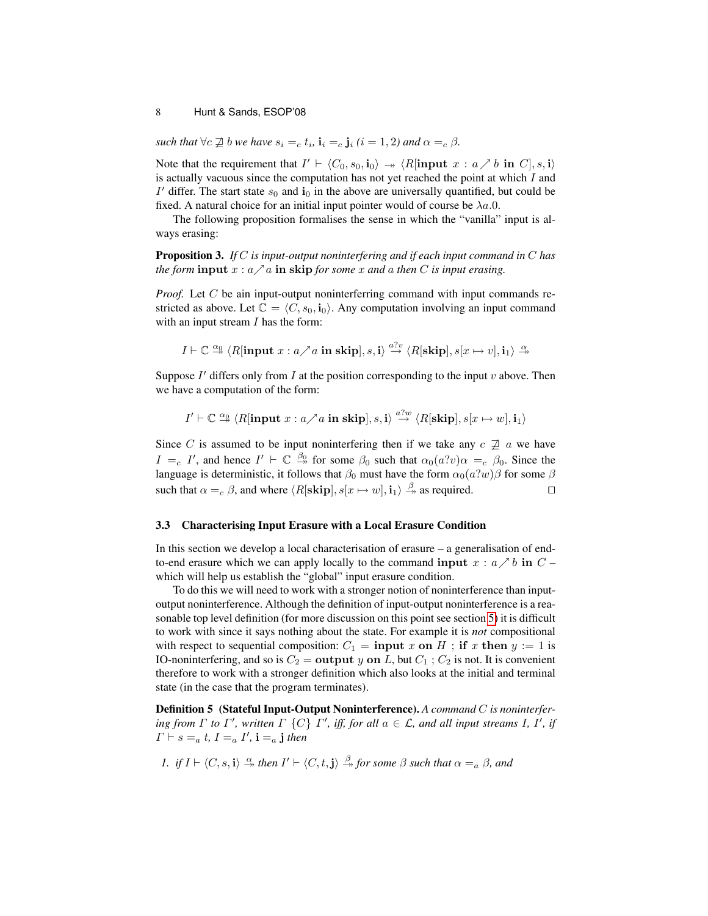*such that*  $\forall c \not\supseteq b$  *we have*  $s_i =_c t_i$ ,  $\mathbf{i}_i =_c \mathbf{j}_i$   $(i = 1, 2)$  and  $\alpha =_c \beta$ .

Note that the requirement that  $I' \vdash \langle C_0, s_0, i_0 \rangle \rightarrow \langle R[\text{input } x : a \nearrow b \text{ in } C], s, i \rangle$ is actually vacuous since the computation has not yet reached the point at which  $I$  and  $I'$  differ. The start state  $s_0$  and  $\mathbf{i}_0$  in the above are universally quantified, but could be fixed. A natural choice for an initial input pointer would of course be  $\lambda a.0$ .

The following proposition formalises the sense in which the "vanilla" input is always erasing:

Proposition 3. *If* C *is input-output noninterfering and if each input command in* C *has the form* input  $x : a \nearrow a$  in skip *for some*  $x$  *and*  $a$  *then*  $C$  *is input erasing.* 

*Proof.* Let C be ain input-output noninterferring command with input commands restricted as above. Let  $\mathbb{C} = \langle C, s_0, \mathbf{i}_0 \rangle$ . Any computation involving an input command with an input stream  $I$  has the form:

$$
I \vdash \mathbb{C} \stackrel{\alpha_0}{\twoheadrightarrow} \langle R[\textbf{input } x : a \nearrow a \textbf{ in skip}], s, \textbf{i} \rangle \stackrel{a?v}{\rightarrow} \langle R[\textbf{skip}], s[x \mapsto v], \textbf{i}_1 \rangle \stackrel{\alpha}{\twoheadrightarrow}
$$

Suppose  $I'$  differs only from  $I$  at the position corresponding to the input  $v$  above. Then we have a computation of the form:

$$
I' \vdash \mathbb{C} \stackrel{\alpha_0}{\to} \langle R[\textbf{input } x : a \nearrow a \textbf{ in skip}], s, \mathbf{i} \rangle \stackrel{a?w}{\to} \langle R[\textbf{skip}], s[x \mapsto w], \mathbf{i}_1 \rangle
$$

Since C is assumed to be input noninterfering then if we take any  $c \not\supseteq a$  we have  $I =_{c} I'$ , and hence  $I' \vdash \mathbb{C} \stackrel{\beta_0}{\to}$  for some  $\beta_0$  such that  $\alpha_0(a?v)\alpha =_{c} \beta_0$ . Since the language is deterministic, it follows that  $\beta_0$  must have the form  $\alpha_0(a?w)\beta$  for some  $\beta$ such that  $\alpha =_c \beta$ , and where  $\langle R[\mathbf{skip}], s[x \mapsto w], \mathbf{i}_1 \rangle \stackrel{\beta}{\rightarrow}$  as required.

### 3.3 Characterising Input Erasure with a Local Erasure Condition

In this section we develop a local characterisation of erasure  $-$  a generalisation of endto-end erasure which we can apply locally to the command input  $x : a \nearrow b$  in  $C$  – which will help us establish the "global" input erasure condition.

To do this we will need to work with a stronger notion of noninterference than inputoutput noninterference. Although the definition of input-output noninterference is a reasonable top level definition (for more discussion [on](#page-18-0) this point see section 5) it is difficult to work with since it says nothing about the state. For example it is *not* compositional with respect to sequential composition:  $C_1 = \text{input } x$  on H; if x then  $y := 1$  is IO-noninterfering, and so is  $C_2 =$ **output** y **on** L, but  $C_1$ ;  $C_2$  is not. It is convenient therefore to work with a stronger definition which also looks at the initial and terminal state (in the case that the program terminates).

<span id="page-7-0"></span>Definition 5 (Stateful Input-Output Noninterference). *A command* C *is noninterfering from*  $\Gamma$  *to*  $\Gamma'$ , written  $\Gamma$   $\{C\}$   $\Gamma'$ , *iff, for all*  $a \in \mathcal{L}$ , *and all input streams* I, I', *if*  $\Gamma \vdash s =_a t, I =_a I', i =_a j$  *then* 

*1.* if 
$$
I \vdash \langle C, s, \mathbf{i} \rangle \stackrel{\alpha}{\rightarrow} \text{then } I' \vdash \langle C, t, \mathbf{j} \rangle \stackrel{\beta}{\rightarrow} \text{for some } \beta \text{ such that } \alpha =_a \beta, \text{ and}
$$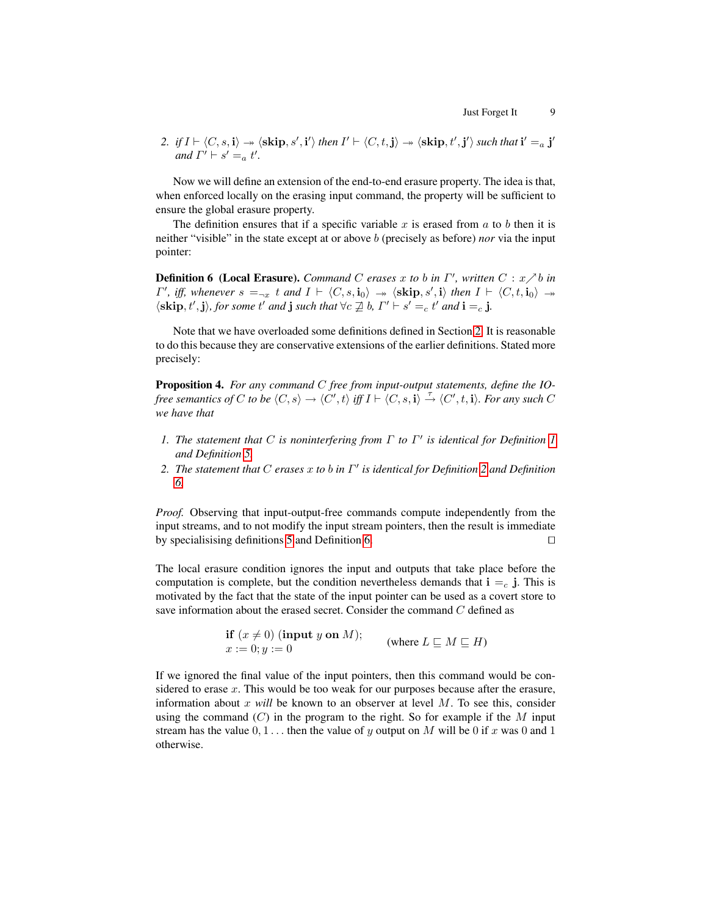2. if  $I \vdash \langle C, s, \mathbf{i} \rangle \rightarrow \langle \mathbf{skip}, s', \mathbf{i}' \rangle$  then  $I' \vdash \langle C, t, \mathbf{j} \rangle \rightarrow \langle \mathbf{skip}, t', \mathbf{j}' \rangle$  such that  $\mathbf{i}' =_a \mathbf{j}'$ *and*  $\Gamma' \vdash s' =_a t'$ .

Now we will define an extension of the end-to-end erasure property. The idea is that, when enforced locally on the erasing input command, the property will be sufficient to ensure the global erasure property.

<span id="page-8-0"></span>The definition ensures that if a specific variable x is erased from  $a$  to  $b$  then it is neither "visible" in the state except at or above b (precisely as before) *nor* via the input pointer:

**Definition 6** (Local Erasure). *Command* C erases x to b in  $\Gamma'$ , written  $C: x \nearrow b$  in  $\Gamma'$ , iff, whenever  $s =_{\neg x} t$  and  $I \vdash \langle C, s, i_0 \rangle \rightarrow \langle \textbf{skip}, s', i \rangle$  then  $I \vdash \langle C, t, i_0 \rangle \rightarrow$  $\langle \textbf{skip}, t', \textbf{j} \rangle$ , for some t' and **j** such that  $\forall c \not\supseteq b$ ,  $\Gamma' \vdash s' =_c t'$  and  $\textbf{i} =_c \textbf{j}$ .

Note that we have overloaded some defini[tio](#page-2-0)ns defined in Section 2. It is reasonable to do this because they are conservative extensions of the earlier definitions. Stated more precisely:

Proposition 4. *For any command* C *free from input-output statements, define the IOfree semantics of* C to be  $\langle C, s \rangle \to \langle C', t \rangle$  *iff*  $I \vdash \langle C, s, \mathbf{i} \rangle \stackrel{\tau}{\to} \langle C', t, \mathbf{i} \rangle$ . For any such C *we have that*

- *1. The statement that* C *is noninterfering from* Γ *to* Γ 0 *is i[de](#page-2-1)ntical for Definition 1 and Definition 5.*
- *2. The statement that* C *erases* x *to* b *in* Γ 0 *is [id](#page-3-0)entical for Definition 2 and Definition 6.*

*Proof.* Observing that input-output-free commands compute independently from the input streams, and to not modify the input stream pointers, then the result is immediate by s[pec](#page-7-0)ialisising defi[niti](#page-8-0)ons 5 and Definition 6.  $\Box$ 

The local erasure condition ignores the input and outputs that take place before the computation is complete, but the condition nevertheless demands that  $\mathbf{i} =_c \mathbf{j}$ . This is motivated by the fact that the state of the input pointer can be used as a covert store to save information about the erased secret. Consider the command C defined as

$$
\begin{aligned} \text{if } (x \neq 0) \text{ (input } y \text{ on } M);\\ x := 0; y := 0 \end{aligned} \quad \text{(where } L \sqsubseteq M \sqsubseteq H)
$$

If we ignored the final value of the input pointers, then this command would be considered to erase  $x$ . This would be too weak for our purposes because after the erasure, information about x *will* be known to an observer at level M. To see this, consider using the command  $(C)$  in the program to the right. So for example if the M input stream has the value  $0, 1, \ldots$  then the value of y output on M will be 0 if x was 0 and 1 otherwise.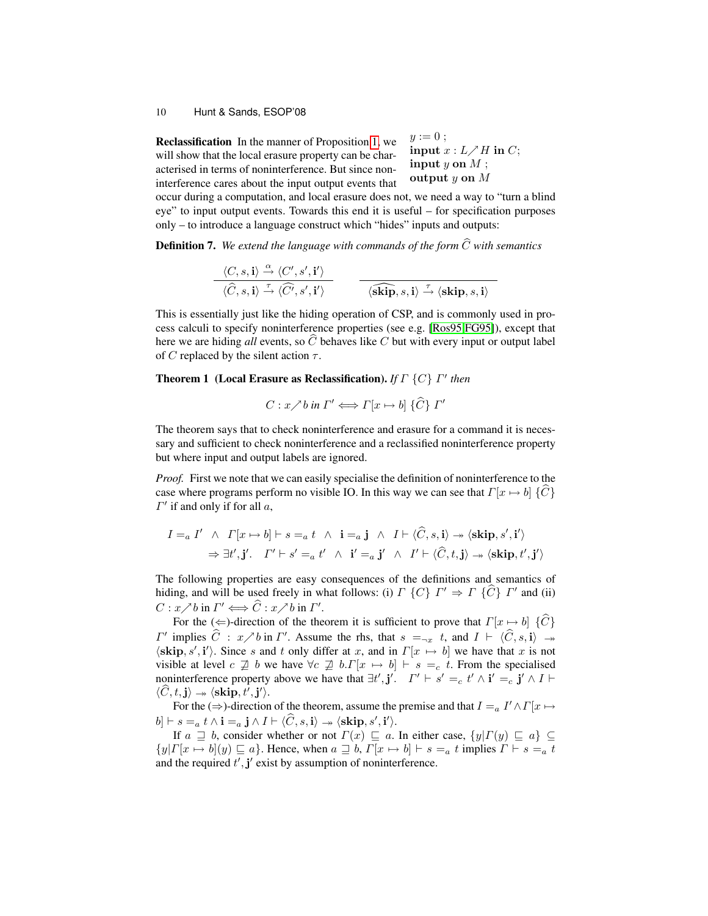Reclassification In the [m](#page-4-0)anner of Proposition 1, we will show that the local erasure property can be characterised in terms of noninterference. But since noninterference cares about the input output events that

 $y := 0;$ input  $x: L \nearrow H$  in C; input  $y$  on  $M$ ; output  $y$  on  $M$ 

occur during a computation, and local erasure does not, we need a way to "turn a blind eye" to input output events. Towards this end it is useful – for specification purposes only – to introduce a language construct which "hides" inputs and outputs:

**Definition 7.** We extend the language with commands of the form  $\hat{C}$  with semantics

$$
\frac{\langle C, s, \mathbf{i} \rangle \xrightarrow{\alpha} \langle C', s', \mathbf{i}' \rangle}{\langle \widehat{C}, s, \mathbf{i} \rangle \xrightarrow{\tau} \langle \widehat{C'}, s', \mathbf{i}' \rangle} \qquad \qquad \overbrace{\langle \widehat{\textbf{skip}}, s, \mathbf{i} \rangle \xrightarrow{\tau} \langle \textbf{skip}, s, \mathbf{i} \rangle}
$$

This is essentially just like the hiding operation of CSP, and is commonly used in process calculi to specify noninterferen[ce prop](#page-20-4)[erties](#page-20-5) (see e.g. [Ros95,FG95]), except that here we are hiding *all* events, so  $\overline{C}$  behaves like  $C$  but with every input or output label of C replaced by the silent action  $\tau$ .

<span id="page-9-0"></span>**Theorem 1** (Local Erasure as Reclassification). *If*  $\Gamma$  {C}  $\Gamma'$  then

$$
C: x \nearrow b \text{ in } \Gamma' \Longleftrightarrow \Gamma[x \mapsto b] \{\widehat{C}\} \Gamma'
$$

The theorem says that to check noninterference and erasure for a command it is necessary and sufficient to check noninterference and a reclassified noninterference property but where input and output labels are ignored.

*Proof.* First we note that we can easily specialise the definition of noninterference to the case where programs perform no visible IO. In this way we can see that  $\Gamma[x \mapsto b]$  { $\widehat{C}$ }  $\Gamma'$  if and only if for all  $a$ ,

$$
I =_a I' \ \land \ \Gamma[x \mapsto b] \vdash s =_a t \ \land \ \mathbf{i} =_a \mathbf{j} \ \land \ \ I \vdash \langle \widehat{C}, s, \mathbf{i} \rangle \rightarrow \langle \mathbf{skip}, s', \mathbf{i}' \rangle
$$
  
\n
$$
\Rightarrow \exists t', \mathbf{j}'. \ \ I' \vdash s' =_a t' \ \land \ \mathbf{i}' =_a \mathbf{j'} \ \land \ \ I' \vdash \langle \widehat{C}, t, \mathbf{j} \rangle \rightarrow \langle \mathbf{skip}, t', \mathbf{j}' \rangle
$$

The following properties are easy consequences of the definitions and semantics of hiding, and will be used freely in what follows: (i)  $\Gamma$  { $C$ }  $\Gamma' \Rightarrow \Gamma$  { $\widehat{C}$ }  $\Gamma'$  and (ii)  $C: x \nearrow b$  in  $\Gamma' \Longleftrightarrow \widehat{C}: x \nearrow b$  in  $\Gamma'.$ 

For the  $(\Leftarrow)$ -direction of the theorem it is sufficient to prove that  $\Gamma[x \mapsto b]$   $\{\widehat{C}\}\$  $\Gamma'$  implies  $\widehat{C}$  :  $x \nearrow b$  in  $\Gamma'$ . Assume the rhs, that  $s = \neg x$  t, and  $I \vdash \langle \widehat{C}, s, \mathbf{i} \rangle \rightarrow \emptyset$  $\langle$ skip, s', i'). Since s and t only differ at x, and in  $\Gamma[x \mapsto b]$  we have that x is not visible at level  $c \not\supseteq b$  we have  $\forall c \not\supseteq b \cdot \Gamma[x \mapsto b] \vdash s =_c t$ . From the specialised noninterference property above we have that  $\exists t', j'$ .  $\Gamma' \vdash s' =_c t' \wedge i' =_c j' \wedge I \vdash$  $\langle \widehat{C}, t, \mathbf{j} \rangle \twoheadrightarrow \langle \mathbf{skip}, t', \mathbf{j}' \rangle.$ 

For the ( $\Rightarrow$ )-direction of the theorem, assume the premise and that  $I =_a I' \wedge \Gamma[x \mapsto \Gamma[x]$  $b] \vdash s =_a t \land \mathbf{i} =_a \mathbf{j} \land I \vdash \langle \widehat{C}, s, \mathbf{i} \rangle \twoheadrightarrow \langle \mathbf{skip}, s', \mathbf{i}' \rangle.$ 

If  $a \supseteq b$ , consider whether or not  $\Gamma(x) \subseteq a$ . In either case,  $\{y|\Gamma(y) \subseteq a\} \subseteq a$  $\{y| \Gamma[x \mapsto b](y) \sqsubseteq a\}.$  Hence, when  $a \sqsupseteq b, \Gamma[x \mapsto b] \vdash s =_a t$  implies  $\Gamma \vdash s =_a t$ and the required  $t'$ ,  $\mathbf{j}'$  exist by assumption of noninterference.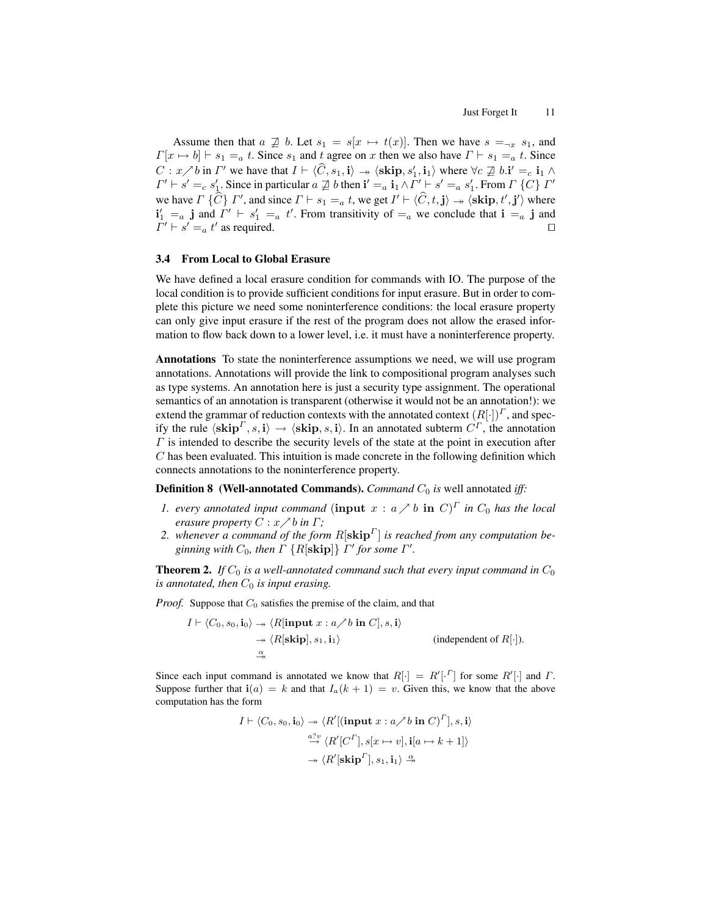Assume then that  $a \not\supseteq b$ . Let  $s_1 = s[x \mapsto t(x)]$ . Then we have  $s =_{\neg x} s_1$ , and  $\Gamma[x \mapsto b] \vdash s_1 = a t$ . Since  $s_1$  and t agree on x then we also have  $\Gamma \vdash s_1 = a t$ . Since  $C: x \nearrow b$  in  $\Gamma'$  we have that  $I \vdash \langle \hat{C}, s_1, \mathbf{i} \rangle \twoheadrightarrow \langle \mathbf{skip}, s'_1, \mathbf{i}_1 \rangle$  where  $\forall c \not\supseteq b.\mathbf{i}' =_{c} \mathbf{i}_1 \wedge \mathbf{i}'$  $\Gamma' \vdash s' = c s'_1$ . Since in particular  $a \not\sqsupseteq b$  then  $\mathbf{i}' = a \mathbf{i}_1 \wedge \Gamma' \vdash s' = a s'_1$ . From  $\Gamma \{C\} \Gamma'$ we have  $\Gamma \{ \widehat{C} \} \Gamma'$ , and since  $\Gamma \vdash s_1 =_a t$ , we get  $I' \vdash \langle \widehat{C}, t, \mathbf{j} \rangle \rightarrow \langle \mathbf{skip}, t', \mathbf{j}' \rangle$  where  $\mathbf{i}'_1$  = i j and  $\Gamma' \vdash s'_1$  = i if if if if if it is interval that  $\mathbf{i}$  = i j and  $\Gamma' \vdash s' =_a t'$  as required.

### 3.4 From Local to Global Erasure

We have defined a local erasure condition for commands with IO. The purpose of the local condition is to provide sufficient conditions for input erasure. But in order to complete this picture we need some noninterference conditions: the local erasure property can only give input erasure if the rest of the program does not allow the erased information to flow back down to a lower level, i.e. it must have a noninterference property.

Annotations To state the noninterference assumptions we need, we will use program annotations. Annotations will provide the link to compositional program analyses such as type systems. An annotation here is just a security type assignment. The operational semantics of an annotation is transparent (otherwise it would not be an annotation!): we extend the grammar of reduction contexts with the annotated context  $(R[\cdot])^T$ , and specify the rule  $\langle \textbf{skip}^{\Gamma}, s, i \rangle \rightarrow \langle \textbf{skip}, s, i \rangle$ . In an annotated subterm  $C^{\Gamma}$ , the annotation  $\Gamma$  is intended to describe the security levels of the state at the point in execution after  $C$  has been evaluated. This intuition is made concrete in the following definition which connects annotations to the noninterference property.

### **Definition 8** (Well-annotated Commands). *Command*  $C_0$  *is* well annotated *iff*:

- *1. every annotated input command* (input  $x : a \nearrow b$  in  $C)^{\Gamma}$  *in*  $C_0$  *has the local erasure property*  $C: x \nearrow b$  *in*  $\Gamma$ ;
- *2. whenever a command of the form* R[skip<sup>Γ</sup> ] *is reached from any computation beginning with*  $C_0$ , then  $\Gamma$  {R[**skip**]}  $\Gamma'$  for some  $\Gamma'$ .

<span id="page-10-0"></span>**Theorem 2.** *If*  $C_0$  *is a well-annotated command such that every input command in*  $C_0$ *is annotated, then*  $C_0$  *is input erasing.* 

*Proof.* Suppose that  $C_0$  satisfies the premise of the claim, and that

$$
I \vdash \langle C_0, s_0, \mathbf{i}_0 \rangle \twoheadrightarrow \langle R[\mathbf{input} \ x : a \nearrow b \text{ in } C], s, \mathbf{i} \rangle
$$
  
\n
$$
\rightarrow \langle R[\mathbf{skip}], s_1, \mathbf{i}_1 \rangle \qquad \text{(independent of } R[\cdot]).
$$
  
\n
$$
\xrightarrow{\alpha}
$$

Since each input command is annotated we know that  $R[\cdot] = R'[\cdot]$  for some  $R'[\cdot]$  and  $\Gamma$ . Suppose further that  $\mathbf{i}(a) = k$  and that  $I_a(k+1) = v$ . Given this, we know that the above computation has the form

$$
I \vdash \langle C_0, s_0, \mathbf{i}_0 \rangle \twoheadrightarrow \langle R'[(\text{input } x : a \nearrow b \text{ in } C)^{\Gamma}], s, \mathbf{i} \rangle
$$

$$
\xrightarrow{a?v} \langle R'[C^{\Gamma}], s[x \mapsto v], \mathbf{i}[a \mapsto k+1] \rangle
$$

$$
\twoheadrightarrow \langle R'[\text{skip}^{\Gamma}], s_1, \mathbf{i}_1 \rangle \xrightarrow{\alpha}
$$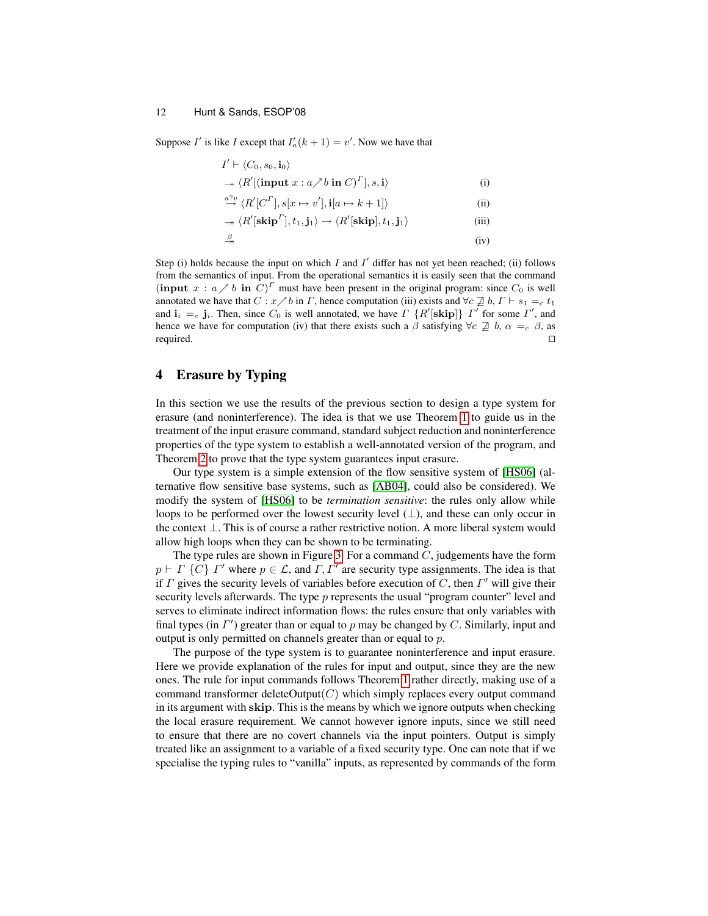Suppose I' is like I except that  $I'_a(k + 1) = v'$ . Now we have that

$$
I' \vdash \langle C_0, s_0, \mathbf{i}_0 \rangle
$$
  
\n
$$
\rightarrow \langle R' | (\mathbf{input} \ x : a \nearrow b \ \mathbf{in} \ C)^{\Gamma} |, s, \mathbf{i} \rangle
$$
 (i)

$$
\stackrel{a?v}{\longrightarrow} \langle R'[C^{\Gamma}], s[x \mapsto v'], \mathbf{i}[a \mapsto k+1] \rangle \tag{ii}
$$

$$
\rightarrow \langle R'[\mathbf{skip}^{\Gamma}], t_1, \mathbf{j}_1 \rangle \rightarrow \langle R'[\mathbf{skip}], t_1, \mathbf{j}_1 \rangle \tag{iii}
$$

$$
\xrightarrow{\beta} \qquad \qquad \text{(iv)}
$$

Step (i) holds because the input on which  $I$  and  $I'$  differ has not yet been reached; (ii) follows from the semantics of input. From the operational semantics it is easily seen that the command (input  $x : a \nearrow b$  in  $C$ )<sup>T</sup> must have been present in the original program: since  $C_0$  is well annotated we have that  $C : x \nearrow b$  in  $\Gamma$ , hence computation (iii) exists and  $\forall c \not\supseteq b, \Gamma \vdash s_1 =_c t_1$ and  $\mathbf{i}_i =_c \mathbf{j}_i$ . Then, since  $C_0$  is well annotated, we have  $\Gamma \{R'[\mathbf{skip}]\}\Gamma'$  for some  $\Gamma'$ , and hence we have for computation (iv) that there exists such a  $\beta$  satisfying  $\forall c \not\supseteq b$ ,  $\alpha =_c \beta$ , as  $\Box$ required.  $\Box$ 

# <span id="page-11-0"></span>4 Erasure by Typing

In this section we use the results of the previous section to design a type system for erasure (and noninterference). The idea is [th](#page-9-0)at we use Theorem 1 to guide us in the treatment of the input erasure command, standard subject reduction and noninterference properties of the type system to establish a well-annotated version of the program, and Theorem 2 to prove that the type system guarantees input erasure.

Our type system is a simple extension of the flo[w sens](#page-20-1)itive system of [HS06] (alternative flow sensitive [base sy](#page-20-6)stems, such as [AB04], could also be considered). We [modify](#page-20-1) the system of [HS06] to be *termination sensitive*: the rules only allow while loops to be performed over the lowest security level  $(\perp)$ , and these can only occur in the context ⊥. This is of course a rather restrictive notion. A more liberal system would allow high loops when they can be shown to be terminating.

The type ru[les](#page-12-0) are shown in Figure 3. For a command  $C$ , judgements have the form  $p \vdash \Gamma$  {C}  $\Gamma'$  where  $p \in \mathcal{L}$ , and  $\Gamma, \Gamma'$  are security type assignments. The idea is that if  $\Gamma$  gives the security levels of variables before execution of  $C$ , then  $\Gamma'$  will give their security levels afterwards. The type  $p$  represents the usual "program counter" level and serves to eliminate indirect information flows: the rules ensure that only variables with final types (in  $\Gamma'$ ) greater than or equal to p may be changed by C. Similarly, input and output is only permitted on channels greater than or equal to p.

The purpose of the type system is to guarantee noninterference and input erasure. Here we provide explanation of the rules for input and output, since they are the new ones. The rule for input com[man](#page-9-0)ds follows Theorem 1 rather directly, making use of a command transformer deleteOutput $(C)$  which simply replaces every output command in its argument with skip. This is the means by which we ignore outputs when checking the local erasure requirement. We cannot however ignore inputs, since we still need to ensure that there are no covert channels via the input pointers. Output is simply treated like an assignment to a variable of a fixed security type. One can note that if we specialise the typing rules to "vanilla" inputs, as represented by commands of the form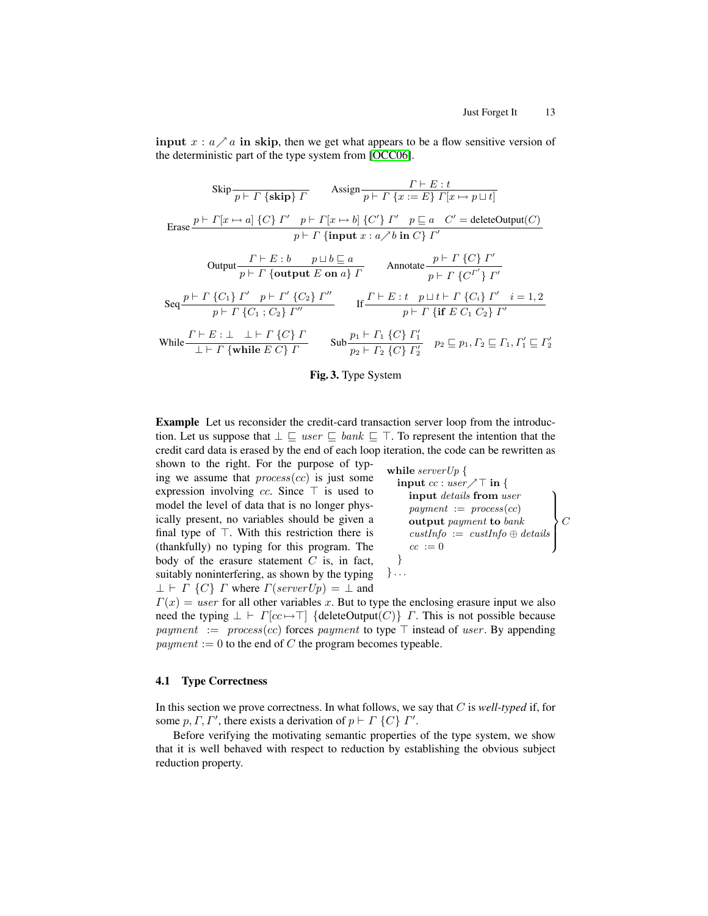input  $x : a \nearrow a$  in skip, then we get what appears to be a flow sensitive version of the deterministic part o[f the type](#page-20-3) system from [OCC06].

$$
\text{skip}\frac{F \vdash E : t}{p \vdash \Gamma \{\text{skip}\} \Gamma} \qquad \text{Assign}\frac{\Gamma \vdash E : t}{p \vdash \Gamma \{x := E\} \Gamma[x \mapsto p \sqcup t]} \\
\text{Erase}\frac{p \vdash \Gamma[x \mapsto a] \{C\} \Gamma' \quad p \vdash \Gamma[x \mapsto b] \{C'\} \Gamma' \quad p \sqsubseteq a \quad C' = \text{deleteOutput}(C)}{p \vdash \Gamma \{\text{input } x : a \nearrow b \text{ in } C\} \Gamma'}
$$
\n
$$
\text{Output}\frac{\Gamma \vdash E : b \qquad p \sqcup b \sqsubseteq a}{p \vdash \Gamma \{\text{output } E \text{ on } a\} \Gamma} \qquad \text{Annotate}\frac{p \vdash \Gamma \{C\} \Gamma'}{p \vdash \Gamma \{C'\} \Gamma'}
$$
\n
$$
\text{Seq}\frac{p \vdash \Gamma \{C_1\} \Gamma' \quad p \vdash \Gamma' \{C_2\} \Gamma''}{p \vdash \Gamma \{C_1; C_2\} \Gamma''} \qquad \text{If}\frac{\Gamma \vdash E : t \quad p \sqcup t \vdash \Gamma \{C_i\} \Gamma' \quad i = 1, 2}{p \vdash \Gamma \{\text{if } E \ C_1 \ C_2\} \Gamma'} \\
\text{While}\frac{\Gamma \vdash E : \bot \quad \bot \vdash \Gamma \{C\} \Gamma}{\bot \vdash \Gamma \{\text{while } E \ C\} \Gamma} \qquad \text{Sub}\frac{p_1 \vdash \Gamma_1 \{C\} \Gamma'_1}{p_2 \vdash \Gamma_2 \{C\} \Gamma'_2} \qquad p_2 \sqsubseteq p_1, \Gamma_2 \sqsubseteq \Gamma_1, \Gamma'_1 \sqsubseteq \Gamma'_2
$$

### <span id="page-12-0"></span>Fig. 3. Type System

Example Let us reconsider the credit-card transaction server loop from the introduction. Let us suppose that  $\bot \sqsubseteq$  user  $\sqsubseteq$  bank  $\square$   $\top$ . To represent the intention that the credit card data is erased by the end of each loop iteration, the code can be rewritten as

shown to the right. For the purpose of typing we assume that  $process(cc)$  is just some expression involving cc. Since  $\top$  is used to model the level of data that is no longer physically present, no variables should be given a final type of  $\top$ . With this restriction there is (thankfully) no typing for this program. The body of the erasure statement  $C$  is, in fact, suitably noninterfering, as shown by the typing  $\bot \vdash \Gamma \{C\}$  Γ where  $\Gamma(\text{serverUp}) = \bot$  and

```
while serverUp {
   input cc : user \nearrow \top in {
      input details from user
      payment := process(cc)output payment to bank
       \textit{custInfo} := \textit{custInfo} \oplus \textit{details}cc := 0\mathcal{L}\vert\int\mathcal{C}_{0}^{(n)}}
\}...
```
 $\Gamma(x) = user$  for all other variables x. But to type the enclosing erasure input we also need the typing  $\perp \vdash \Gamma[cc \mapsto \top]$  {deleteOutput(C)}  $\Gamma$ . This is not possible because payment := process(cc) forces payment to type  $\top$  instead of user. By appending  $payment := 0$  to the end of C the program becomes typeable.

## 4.1 Type Correctness

In this section we prove correctness. In what follows, we say that C is *well-typed* if, for some  $p, \Gamma, \Gamma'$ , there exists a derivation of  $p \vdash \Gamma$  {C}  $\Gamma'$ .

Before verifying the motivating semantic properties of the type system, we show that it is well behaved with respect to reduction by establishing the obvious subject reduction property.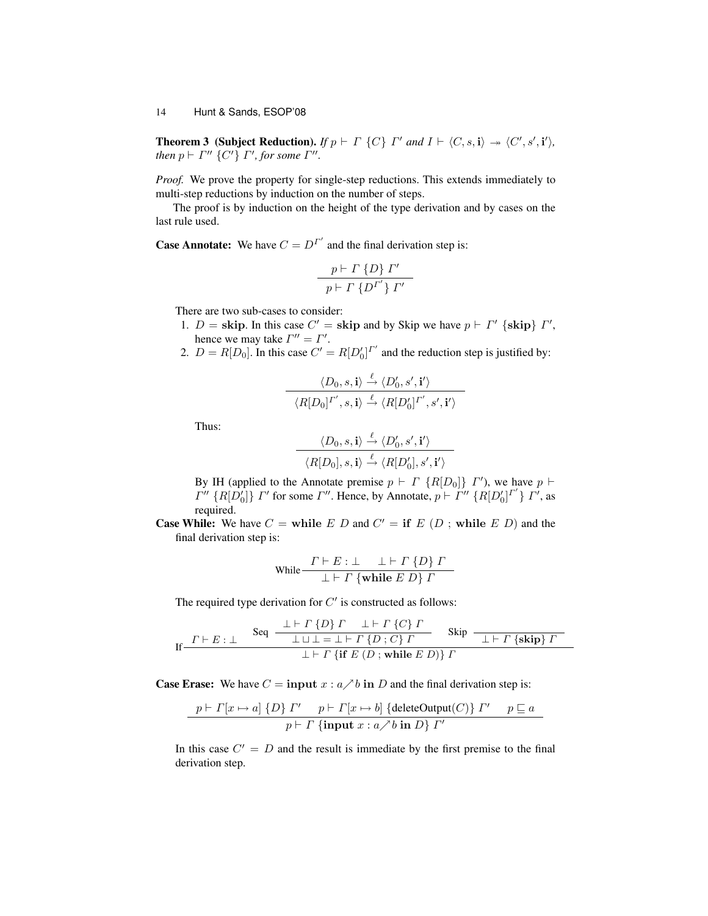**Theorem 3** (Subject Reduction). *If*  $p \vdash \Gamma \{C\} \Gamma'$  *and*  $I \vdash \langle C, s, i \rangle \rightarrow \langle C', s', i' \rangle$ , *then*  $p \vdash \Gamma''$   $\{C'\}$   $\Gamma'$ *, for some*  $\Gamma''$ *.* 

*Proof.* We prove the property for single-step reductions. This extends immediately to multi-step reductions by induction on the number of steps.

The proof is by induction on the height of the type derivation and by cases on the last rule used.

**Case Annotate:** We have  $C = D^{T'}$  and the final derivation step is:

$$
\frac{p \vdash \Gamma \{D\} \Gamma'}{p \vdash \Gamma \{D^{\Gamma'}\} \Gamma'}
$$

There are two sub-cases to consider:

- 1.  $D =$  skip. In this case  $C' =$  skip and by Skip we have  $p \vdash \Gamma'$  {skip}  $\Gamma'$ , hence we may take  $\Gamma'' = \Gamma'$ .
- 2.  $D = R[D_0]$ . In this case  $C' = R[D'_0]^{T'}$  and the reduction step is justified by:

$$
\frac{\langle D_0, s, \mathbf{i} \rangle \stackrel{\ell}{\rightarrow} \langle D'_0, s', \mathbf{i}' \rangle}{\langle R[D_0]^{I'}, s, \mathbf{i} \rangle \stackrel{\ell}{\rightarrow} \langle R[D'_0]^{I'}, s', \mathbf{i}' \rangle}
$$

Thus:

$$
\frac{\langle D_0, s, \mathbf{i} \rangle \xrightarrow{\ell} \langle D'_0, s', \mathbf{i}' \rangle}{\langle R[D_0], s, \mathbf{i} \rangle \xrightarrow{\ell} \langle R[D'_0], s', \mathbf{i}' \rangle}
$$

By IH (applied to the Annotate premise  $p \vdash \Gamma \{R[D_0]\} \Gamma'$ ), we have  $p \vdash \Gamma$  $\Gamma''$  {R[D'<sub>0</sub>]}  $\Gamma'$  for some  $\Gamma''$ . Hence, by Annotate,  $p \vdash \Gamma''$  {R[D'<sub>0</sub>]<sup> $\Gamma'$ </sup>}  $\Gamma'$ , as required.

**Case While:** We have  $C =$  while  $E \cdot D$  and  $C' =$  if  $E \cdot (D)$ ; while  $E \cdot D$  and the final derivation step is:

$$
\text{While } \frac{\Gamma \vdash E : \bot \quad \bot \vdash \Gamma \{D\} \ \Gamma}{\bot \vdash \Gamma \{ \text{while } E \ D \} \ \Gamma}
$$

The required type derivation for  $C'$  is constructed as follows:

If 
$$
\frac{\text{Seq} \quad \bot \vdash \Gamma \{D\} \Gamma \quad \bot \vdash \Gamma \{C\} \Gamma}{\bot \sqcup \bot = \bot \vdash \Gamma \{D\} \Gamma} \quad \text{skip} \frac{\text{skip}}{\bot \vdash \Gamma \{\text{skip}\} \Gamma}
$$
\nIf 
$$
\frac{\Gamma \vdash E : \bot \quad \bot \bot \bot \bot \vdash \bot \Gamma \{D\} \Gamma}{\bot \vdash \Gamma \{\text{if } E(D; \text{while } E(D)\} \Gamma}
$$

**Case Erase:** We have  $C = \text{input } x : a \nearrow b \text{ in } D$  and the final derivation step is:

$$
\frac{p \vdash \Gamma[x \mapsto a] \{D\} \ \Gamma' \quad p \vdash \Gamma[x \mapsto b] \ \{\text{deleteOutput}(C)\} \ \Gamma' \quad p \sqsubseteq a}{p \vdash \Gamma \ \{\text{input } x : a \nearrow b \ \text{in } D\} \ \Gamma'}
$$

In this case  $C' = D$  and the result is immediate by the first premise to the final derivation step.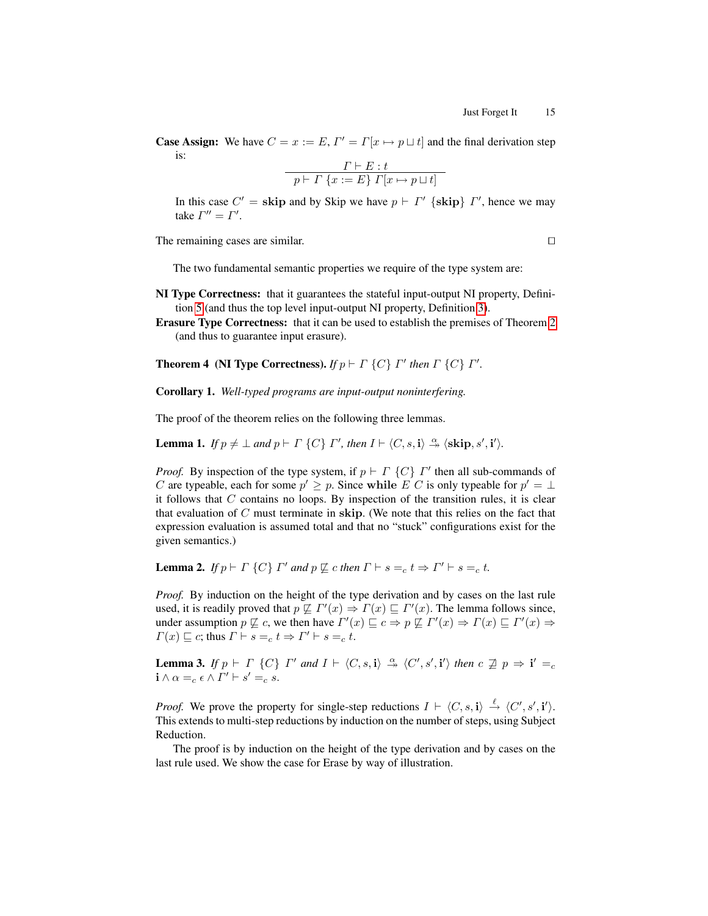**Case Assign:** We have  $C = x := E$ ,  $\Gamma' = \Gamma[x \mapsto p \sqcup t]$  and the final derivation step is:

$$
\frac{\Gamma \vdash E : t}{p \vdash \Gamma \{x := E\} \Gamma[x \mapsto p \sqcup t]}
$$

In this case  $C' =$  skip and by Skip we have  $p \vdash \Gamma'$  {skip}  $\Gamma'$ , hence we may take  $\Gamma'' = \Gamma'.$ 

The remaining cases are similar.  $\Box$ 

The two fundamental semantic properties we require of the type system are:

- NI Type Correctness: that it guarantees the stateful input-output NI property, Definition 5 (and thus the top level input-output [NI](#page-6-2) property, Definition 3).
- Erasure Type Correctness: that it can be used to establish th[e p](#page-10-0)remises of Theorem 2 (and thus to guarantee input erasure).

<span id="page-14-3"></span>**Theorem 4** (NI Type Correctness). *If*  $p \vdash \Gamma$  {C}  $\Gamma'$  then  $\Gamma$  {C}  $\Gamma'$ .

Corollary 1. *Well-typed programs are input-output noninterfering.*

<span id="page-14-1"></span>The proof of the theorem relies on the following three lemmas.

**Lemma 1.** If  $p \neq \perp$  and  $p \vdash \Gamma \{C\} \Gamma'$ , then  $I \vdash \langle C, s, \mathbf{i} \rangle \stackrel{\alpha}{\twoheadrightarrow} \langle \mathbf{skip}, s', \mathbf{i}' \rangle$ .

*Proof.* By inspection of the type system, if  $p \vdash \Gamma \{C\} \Gamma'$  then all sub-commands of C are typeable, each for some  $p' \geq p$ . Since while E C is only typeable for  $p' = \perp$ it follows that  $C$  contains no loops. By inspection of the transition rules, it is clear that evaluation of  $C$  must terminate in  $\textbf{skip}$ . (We note that this relies on the fact that expression evaluation is assumed total and that no "stuck" configurations exist for the given semantics.)

<span id="page-14-0"></span>**Lemma 2.** *If*  $p \vdash \Gamma$  {C}  $\Gamma'$  *and*  $p \not\sqsubseteq c$  *then*  $\Gamma \vdash s =_c t \Rightarrow \Gamma' \vdash s =_c t$ *.* 

*Proof.* By induction on the height of the type derivation and by cases on the last rule used, it is readily proved that  $p \not\sqsubseteq \Gamma'(x) \Rightarrow \Gamma(x) \sqsubseteq \Gamma'(x)$ . The lemma follows since, under assumption  $p \not\sqsubseteq c$ , we then have  $\Gamma'(x) \sqsubseteq c \Rightarrow p \not\sqsubseteq \Gamma'(x) \Rightarrow \Gamma(x) \sqsubseteq \Gamma'(x) \Rightarrow$  $\Gamma(x) \sqsubseteq c$ ; thus  $\Gamma \vdash s =_c t \Rightarrow \Gamma' \vdash s =_c t$ .

<span id="page-14-2"></span>**Lemma 3.** If  $p \vdash \Gamma$  {C}  $\Gamma'$  and  $I \vdash \langle C, s, \mathbf{i} \rangle \stackrel{\alpha}{\twoheadrightarrow} \langle C', s', \mathbf{i}' \rangle$  then  $c \not\supseteq p \Rightarrow \mathbf{i}' =_c$  $\mathbf{i} \wedge \alpha =_c \epsilon \wedge \Gamma' \vdash s' =_c s.$ 

*Proof.* We prove the property for single-step reductions  $I \vdash \langle C, s, \mathbf{i} \rangle \stackrel{\ell}{\rightarrow} \langle C', s', \mathbf{i}' \rangle$ . This extends to multi-step reductions by induction on the number of steps, using Subject Reduction.

The proof is by induction on the height of the type derivation and by cases on the last rule used. We show the case for Erase by way of illustration.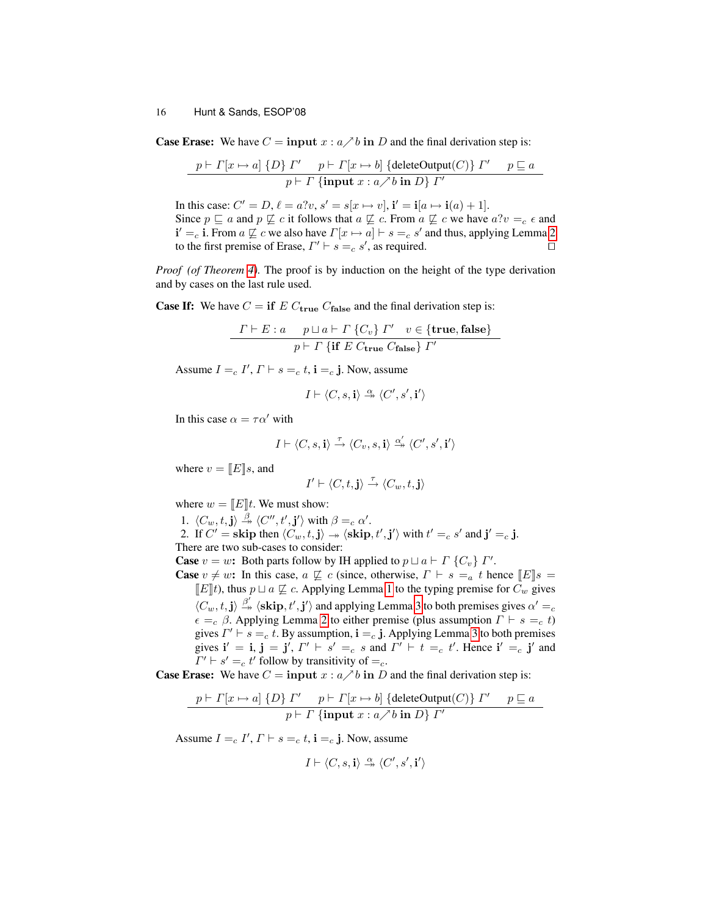**Case Erase:** We have  $C = \text{input } x : a \nearrow b \text{ in } D$  and the final derivation step is:

$$
\frac{p \vdash \Gamma[x \mapsto a] \{D\} \ \Gamma' \quad p \vdash \Gamma[x \mapsto b] \ \{\text{deleteOutput}(C)\} \ \Gamma' \quad p \sqsubseteq a}{p \vdash \Gamma \ \{\text{input } x : a \nearrow b \ \text{in } D\} \ \Gamma'}
$$

In this case:  $C' = D$ ,  $\ell = a$ ?v,  $s' = s[x \mapsto v]$ ,  $\mathbf{i}' = \mathbf{i}[a \mapsto \mathbf{i}(a) + 1]$ .

Since  $p \sqsubseteq a$  and  $p \not\sqsubseteq c$  it follows that  $a \not\sqsubseteq c$ . From  $a \not\sqsubseteq c$  we have  $a?v =_c \epsilon$  and  $\mathbf{i}' =_c \mathbf{i}$ . From  $a \not\sqsubseteq c$  we also have  $\Gamma[x \mapsto a] \vdash s =_c s'$  and [th](#page-14-0)us, applying Lemma 2 to the first premise of Erase,  $\Gamma' \vdash s = c s'$ , as required.

*Proof (of Theorem 4)*. The proof is by induction on the height of the type derivation and by cases on the last rule used.

**Case If:** We have  $C =$  if E  $C_{true}$   $C_{false}$  and the final derivation step is:

$$
\frac{\Gamma \vdash E : a \quad p \sqcup a \vdash \Gamma \{C_v\} \Gamma' \quad v \in \{\text{true}, \text{false}\}}{p \vdash \Gamma \{\text{if } E \text{ } C_{\text{true}} \text{ } C_{\text{false}}\} \Gamma'}
$$

Assume  $I =_c I', \Gamma \vdash s =_c t, \mathbf{i} =_c \mathbf{j}$ . Now, assume

$$
I \vdash \langle C, s, \mathbf{i} \rangle \stackrel{\alpha}{\twoheadrightarrow} \langle C', s', \mathbf{i}' \rangle
$$

In this case  $\alpha = \tau \alpha'$  with

$$
I \vdash \langle C, s, \mathbf{i} \rangle \xrightarrow{\tau} \langle C_v, s, \mathbf{i} \rangle \xrightarrow{\alpha'} \langle C', s', \mathbf{i}' \rangle
$$

where  $v = [E]s$ , and

$$
I' \vdash \langle C, t, \mathbf{j} \rangle \xrightarrow{\tau} \langle C_w, t, \mathbf{j} \rangle
$$

where  $w = [E]t$ . We must show:

1.  $\langle C_w, t, \mathbf{j} \rangle \stackrel{\beta}{\rightarrow} \langle C'', t', \mathbf{j}' \rangle$  with  $\beta =_c \alpha'$ .

2. If  $C' = \textbf{skip}$  then  $\langle C_w, t, j \rangle \rightarrow \langle \textbf{skip}, t', j' \rangle$  with  $t' =_c s'$  and  $j' =_c j$ . There are two sub-cases to consider:

**Case**  $v = w$ : Both parts follow by IH applied to  $p \sqcup a \vdash \Gamma$  { $C_v$ }  $\Gamma'$ .

**Case**  $v \neq w$ : In this case,  $a \not\sqsubseteq c$  (since, otherwise,  $\Gamma \vdash s = a$  t hence  $[[E]]s =$  $[[E]]t$ , thus  $p \sqcup a \not\sqsubseteq c$ . Applying Lemma 1 to the typing premise for  $C_w$  gives  $\langle C_w, t, \mathbf{j} \rangle \stackrel{\beta'}{\rightarrow} \langle \mathbf{skip}, t', \mathbf{j}' \rangle$  $\langle C_w, t, \mathbf{j} \rangle \stackrel{\beta'}{\rightarrow} \langle \mathbf{skip}, t', \mathbf{j}' \rangle$  $\langle C_w, t, \mathbf{j} \rangle \stackrel{\beta'}{\rightarrow} \langle \mathbf{skip}, t', \mathbf{j}' \rangle$  $\langle C_w, t, \mathbf{j} \rangle \stackrel{\beta'}{\rightarrow} \langle \mathbf{skip}, t', \mathbf{j}' \rangle$  $\langle C_w, t, \mathbf{j} \rangle \stackrel{\beta'}{\rightarrow} \langle \mathbf{skip}, t', \mathbf{j}' \rangle$  and applying Lemma 3 to both premises gives  $\alpha' =_c$  $\epsilon = c \beta$ . Applying Lemma 2 to either premise (plus assumption  $\Gamma \vdash s = c t$ ) gives  $\Gamma' \vdash s =_c t$  $\Gamma' \vdash s =_c t$  $\Gamma' \vdash s =_c t$ . By assumption,  $\mathbf{i} =_c \mathbf{j}$ . Applying Lemma 3 to both premises gives  $\mathbf{i}' = \mathbf{i}, \mathbf{j} = \mathbf{j}', \Gamma' \vdash s' =_c s$  and  $\Gamma' \vdash t =_c t'$ . Hence  $\mathbf{i}' =_c \mathbf{j}'$  and  $\Gamma' \vdash s' =_c t'$  follow by transitivity of  $=_c$ .

**Case Erase:** We have  $C = \text{input } x : a \nearrow b \text{ in } D$  and the final derivation step is:

$$
\frac{p \vdash \Gamma[x \mapsto a] \{D\} \ \Gamma' \quad p \vdash \Gamma[x \mapsto b] \ \{\text{deleteOutput}(C)\} \ \Gamma' \quad p \sqsubseteq a}{p \vdash \Gamma \ \{\text{input } x : a \nearrow b \ \text{in } D\} \ \Gamma'}
$$

Assume  $I =_c I', T \vdash s =_c t, i =_c j$ . Now, assume

$$
I \vdash \langle C, s, \mathbf{i} \rangle \stackrel{\alpha}{\twoheadrightarrow} \langle C', s', \mathbf{i}' \rangle
$$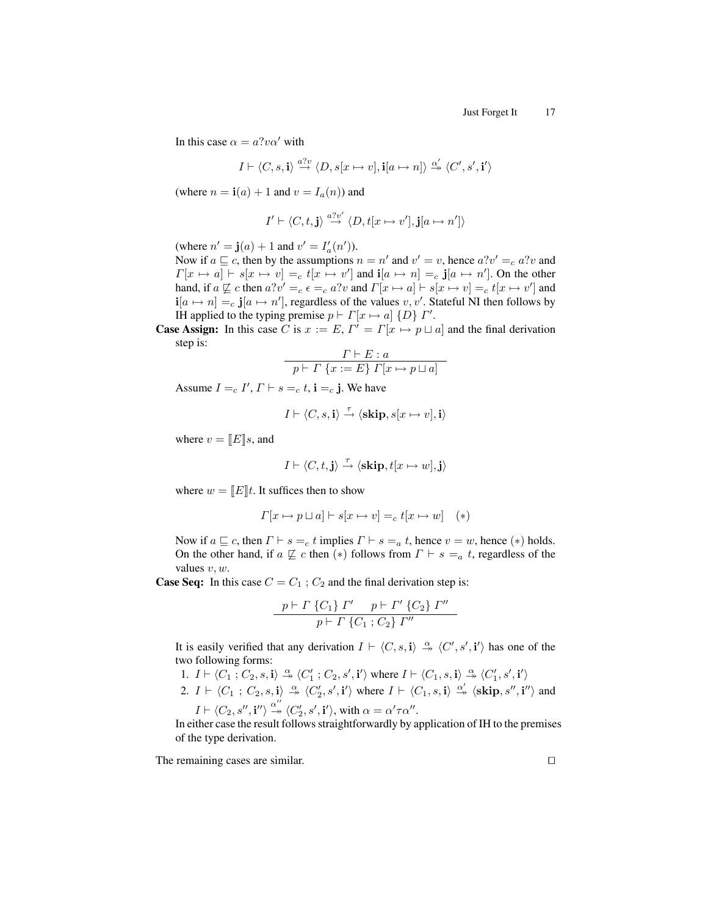In this case  $\alpha = a?v\alpha'$  with

$$
I \vdash \langle C, s, \mathbf{i} \rangle \stackrel{a?v}{\to} \langle D, s[x \mapsto v], \mathbf{i}[a \mapsto n] \rangle \stackrel{\alpha'}{\to} \langle C', s', \mathbf{i}' \rangle
$$

(where  $n = \mathbf{i}(a) + 1$  and  $v = I_a(n)$ ) and

$$
I' \vdash \langle C, t, \mathbf{j} \rangle \stackrel{a?v'}{\rightarrow} \langle D, t[x \mapsto v'], \mathbf{j}[a \mapsto n'] \rangle
$$

(where  $n' = \mathbf{j}(a) + 1$  and  $v' = I'_a(n')$ ).

Now if  $a \sqsubseteq c$ , then by the assumptions  $n = n'$  and  $v' = v$ , hence  $a?v' =_c a?v$  and  $\Gamma[x \mapsto a] \vdash s[x \mapsto v] =_c t[x \mapsto v']$  and  $i[a \mapsto n] =_c j[a \mapsto n']$ . On the other hand, if  $a \not\sqsubseteq c$  then  $a?v' =_c e =_c a?v$  and  $\Gamma[x \mapsto a] \vdash s[x \mapsto v] =_c t[x \mapsto v']$  and  $\mathbf{i}[a \mapsto n] =_c \mathbf{j}[a \mapsto n']$ , regardless of the values  $v, v'$ . Stateful NI then follows by IH applied to the typing premise  $p \vdash \Gamma[x \mapsto a] \{D\} \Gamma'$ .

**Case Assign:** In this case C is  $x := E$ ,  $\Gamma' = \Gamma[x \mapsto p \sqcup a]$  and the final derivation step is:

$$
\frac{\Gamma \vdash E : a}{p \vdash \Gamma \{x := E\} \Gamma[x \mapsto p \sqcup a]}
$$

Assume  $I =_c I', T \vdash s =_c t, i =_c j$ . We have

 $I \vdash \langle C, s, \mathbf{i} \rangle \stackrel{\tau}{\rightarrow} \langle \mathbf{skip}, s[x \mapsto v], \mathbf{i} \rangle$ 

where  $v = [E]s$ , and

$$
I \vdash \langle C, t, \mathbf{j} \rangle \stackrel{\tau}{\rightarrow} \langle \mathbf{skip}, t[x \mapsto w], \mathbf{j} \rangle
$$

where  $w = [E]t$ . It suffices then to show

$$
\Gamma[x \mapsto p \sqcup a] \vdash s[x \mapsto v] =_c t[x \mapsto w] \quad (*)
$$

Now if  $a \sqsubseteq c$ , then  $\Gamma \vdash s =_c t$  implies  $\Gamma \vdash s =_a t$ , hence  $v = w$ , hence  $(*)$  holds. On the other hand, if  $a \not\sqsubseteq c$  then  $(*)$  follows from  $\Gamma \vdash s =_a t$ , regardless of the values  $v, w$ .

**Case Seq:** In this case  $C = C_1$ ;  $C_2$  and the final derivation step is:

$$
\frac{p \vdash \Gamma \{C_1\} \Gamma' \quad p \vdash \Gamma' \{C_2\} \Gamma''}{p \vdash \Gamma \{C_1 \, ; \, C_2\} \, \Gamma''}
$$

It is easily verified that any derivation  $I \vdash \langle C, s, \mathbf{i} \rangle \stackrel{\alpha}{\twoheadrightarrow} \langle C', s', \mathbf{i}' \rangle$  has one of the two following forms:

- 1.  $I \vdash \langle C_1; C_2, s, i \rangle \stackrel{\alpha}{\rightarrow} \langle C_1'; C_2, s', i' \rangle$  where  $I \vdash \langle C_1, s, i \rangle \stackrel{\alpha}{\rightarrow} \langle C_1', s', i' \rangle$
- 2.  $I \vdash \langle C_1 ; C_2, s, i \rangle \stackrel{\alpha}{\twoheadrightarrow} \langle C_2', s', i' \rangle$  where  $I \vdash \langle C_1, s, i \rangle \stackrel{\alpha'}{\twoheadrightarrow} \langle \textbf{skip}, s'', i'' \rangle$  and  $I \vdash \langle C_2, s'', \mathbf{i}'' \rangle \stackrel{\alpha''}{\twoheadrightarrow} \langle C_2', s', \mathbf{i}' \rangle$ , with  $\alpha = \alpha' \tau \alpha''$ .

In either case the result follows straightforwardly by application of IH to the premises of the type derivation.

<span id="page-16-0"></span>The remaining cases are similar.  $\square$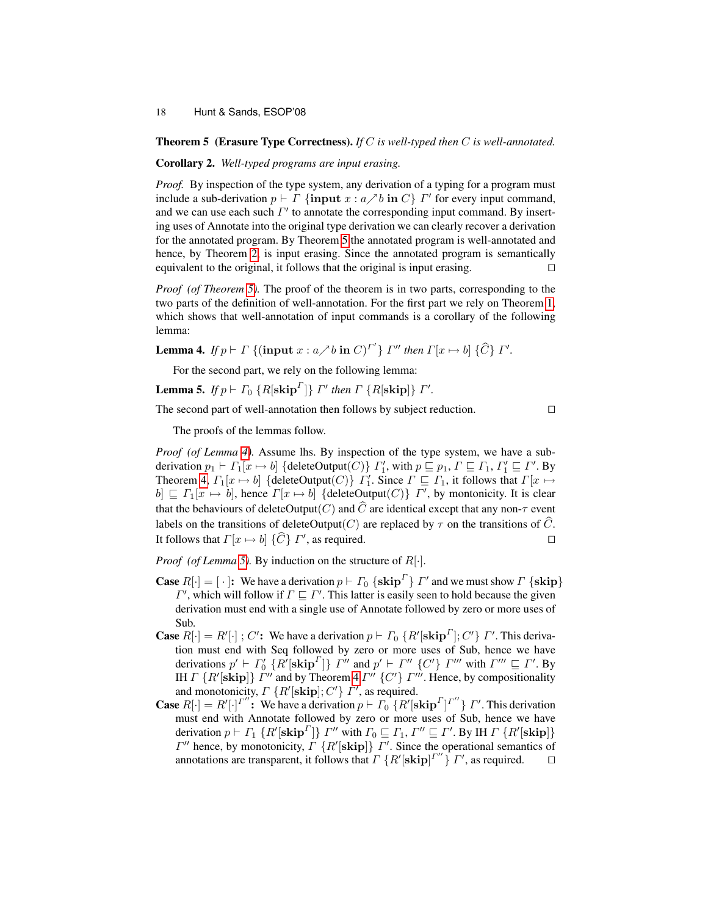#### Theorem 5 (Erasure Type Correctness). *If* C *is well-typed then* C *is well-annotated.*

Corollary 2. *Well-typed programs are input erasing.*

*Proof.* By inspection of the type system, any derivation of a typing for a program must include a sub-derivation  $p \vdash \Gamma$  {input  $x : a \nearrow b$  in  $C$ }  $\Gamma'$  for every input command, and we can use each such  $\Gamma'$  to annotate the corresponding input command. By inserting uses of Annotate into the original type derivation we can clearly recover a derivation for the annotated [pr](#page-16-0)ogram. By Theorem 5 the annotated program is well-annotated and hence, by Theorem 2, is input erasing. Since the annotated program is semantically equivalent to the original, it follows that the original is input erasing.  $\Box$ 

*Proof (of Theorem 5).* The proof of the theorem is in two parts, corresponding to the two parts of the definition of well-annotation. For the first pa[rt](#page-9-0) we rely on Theorem 1, which shows that well-annotation of input commands is a corollary of the following lemma:

**Lemma 4.** *If*  $p \vdash \Gamma$  {(input  $x : a \nearrow b$  in  $C$ )<sup> $\Gamma'$ </sup>}  $\Gamma''$  then  $\Gamma[x \mapsto b]$  { $\widehat{C}$ }  $\Gamma'$ .

For the second part, we rely on the following lemma:

**Lemma 5.** *If*  $p \vdash \Gamma_0$  { $R[\mathbf{skip}]\}$   $\Gamma'$  then  $\Gamma$  { $R[\mathbf{skip}]\}$   $\Gamma'$ .

The second part of well-annotation then follows by subject reduction.  $\Box$ 

The proofs of the lemmas follow.

*Proof (of Lemma 4).* Assume lhs. By inspection of the type system, we have a subderivation  $p_1 \vdash \Gamma_1[x \mapsto b]$  {deleteOutput(C)}  $\Gamma'_1$ , with  $p \sqsubseteq p_1$ ,  $\Gamma \sqsubseteq \Gamma_1$ ,  $\Gamma'_1 \sqsubseteq \Gamma'$ . By Theorem 4,  $\Gamma_1[x \mapsto b]$  {deleteOutput(C)}  $\Gamma'_1$ . Since  $\Gamma \sqsubseteq \Gamma_1$ , it follows that  $\Gamma[x \mapsto b]$  $b] \subseteq \Gamma_1[x \mapsto b]$ , hence  $\Gamma[x \mapsto b]$  {deleteOutput(C)}  $\Gamma'$ , by montonicity. It is clear that the behaviours of deleteOutput(C) and  $\hat{C}$  are identical except that any non- $\tau$  event labels on the transitions of deleteOutput(*C*) are replaced by  $\tau$  on the transitions of  $\hat{C}$ .<br>It follows that  $\Gamma[x \mapsto b]$  { $\hat{C}$ }  $\Gamma'$ , as required. It follows that  $\Gamma[x \mapsto b]$  { $\widehat{C}$ }  $\Gamma'$ , as required.

*Proof (of Lemma 5).* By induction on the structure of  $R[\cdot]$ .

- **Case**  $R[\cdot] = [\cdot]$ : We have a derivation  $p \vdash \Gamma_0 \{ \textbf{skip} \} \Gamma \}$   $\Gamma'$  and we must show  $\Gamma \{ \textbf{skip} \}$  $\Gamma'$ , which will follow if  $\Gamma \sqsubseteq \Gamma'$ . This latter is easily seen to hold because the given derivation must end with a single use of Annotate followed by zero or more uses of Sub.
- **Case**  $R[\cdot] = R'[\cdot]$ ; C': We have a derivation  $p \vdash \Gamma_0 \{R'[\mathbf{skip} \Gamma]; C'\}$   $\Gamma'$ . This derivation must end with Seq followed by zero or more uses of Sub, hence we have derivations  $p' \vdash \Gamma_0'$  { $R'$ [skip<sup>T</sup>]}  $\Gamma''$  and  $p' \vdash \Gamma''$  { $C'$ }  $\Gamma'''$  with  $\Gamma''' \sqsubseteq \Gamma'$ . By IH  $\Gamma$  {R'[skip][}](#page-14-3)  $\Gamma''$  and by Theorem 4  $\Gamma''$  {C'}  $\Gamma'''$ . Hence, by compositionality and monotonicity,  $\Gamma$  { $R'$ [skip];  $C'$ }  $\Gamma'$ , as required.
- **Case**  $R[\cdot] = R'[\cdot]^{T''}$ : We have a derivation  $p \vdash \Gamma_0$  { $R'[\textbf{skip}^T]^{T''}$ }  $\Gamma'$ . This derivation must end with Annotate followed by zero or more uses of Sub, hence we have derivation  $p \vdash \Gamma_1 \{R'[\textbf{skip} \Gamma]\}\ \Gamma''$  with  $\Gamma_0 \sqsubseteq \Gamma_1$ ,  $\Gamma'' \sqsubseteq \Gamma'$ . By IH  $\Gamma \{R'[\textbf{skip}]\}$  $\Gamma''$  hence, by monotonicity,  $\Gamma \{R'[\textbf{skip}]\}\ \Gamma'$ . Since the operational semantics of annotations are transparent, it follows that  $\Gamma \{R'[\textbf{skip}]^{\Gamma''}\}\Gamma'$ , as required.  $\square$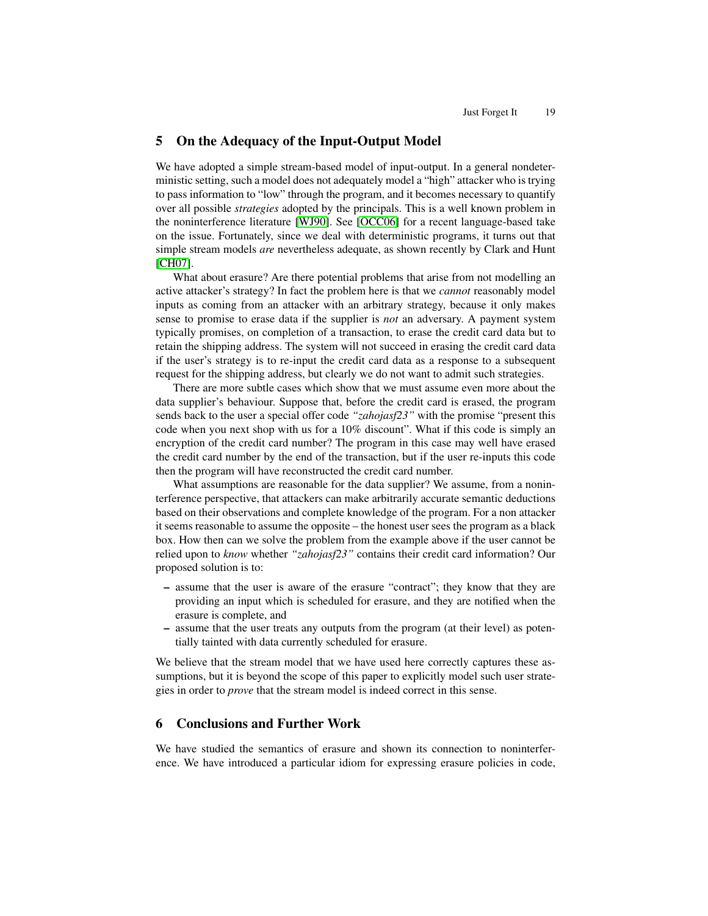# <span id="page-18-0"></span>5 On the Adequacy of the Input-Output Model

We have adopted a simple stream-based model of input-output. In a general nondeterministic setting, such a model does not adequately model a "high" attacker who is trying to pass information to "low" through the program, and it becomes necessary to quantify over all possible *strategies* adopted by the principals. This is a well known problem in the no[ninterfe](#page-20-7)rence l[iterature](#page-20-3) [WJ90]. See [OCC06] for a recent language-based take on the issue. Fortunately, since we deal with deterministic programs, it turns out that simple stream models *are* nevertheless adequate, as shown recently by Clark and Hunt [CH07].

What about erasure? Are there potential problems that arise from not modelling an active attacker's strategy? In fact the problem here is that we *cannot* reasonably model inputs as coming from an attacker with an arbitrary strategy, because it only makes sense to promise to erase data if the supplier is *not* an adversary. A payment system typically promises, on completion of a transaction, to erase the credit card data but to retain the shipping address. The system will not succeed in erasing the credit card data if the user's strategy is to re-input the credit card data as a response to a subsequent request for the shipping address, but clearly we do not want to admit such strategies.

There are more subtle cases which show that we must assume even more about the data supplier's behaviour. Suppose that, before the credit card is erased, the program sends back to the user a special offer code *"zahojasf23"* with the promise "present this code when you next shop with us for a 10% discount". What if this code is simply an encryption of the credit card number? The program in this case may well have erased the credit card number by the end of the transaction, but if the user re-inputs this code then the program will have reconstructed the credit card number.

What assumptions are reasonable for the data supplier? We assume, from a noninterference perspective, that attackers can make arbitrarily accurate semantic deductions based on their observations and complete knowledge of the program. For a non attacker it seems reasonable to assume the opposite – the honest user sees the program as a black box. How then can we solve the problem from the example above if the user cannot be relied upon to *know* whether *"zahojasf23"* contains their credit card information? Our proposed solution is to:

- assume that the user is aware of the erasure "contract"; they know that they are providing an input which is scheduled for erasure, and they are notified when the erasure is complete, and
- assume that the user treats any outputs from the program (at their level) as potentially tainted with data currently scheduled for erasure.

We believe that the stream model that we have used here correctly captures these assumptions, but it is beyond the scope of this paper to explicitly model such user strategies in order to *prove* that the stream model is indeed correct in this sense.

# 6 Conclusions and Further Work

We have studied the semantics of erasure and shown its connection to noninterference. We have introduced a particular idiom for expressing erasure policies in code,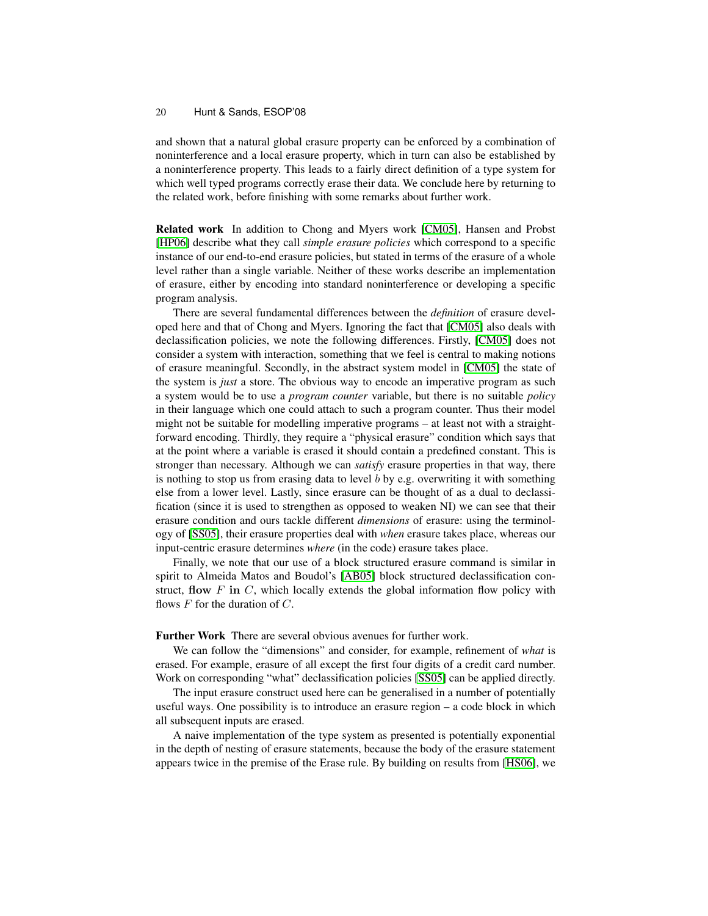and shown that a natural global erasure property can be enforced by a combination of noninterference and a local erasure property, which in turn can also be established by a noninterference property. This leads to a fairly direct definition of a type system for which well typed programs correctly erase their data. We conclude here by returning to the related work, before finishing with some remarks about further work.

Related work In addition to Ch[ong and](#page-20-0) Myers work [CM05], Hansen and Probst [HP06] describe what they call *simple erasure policies* which correspond to a specific instance of our end-to-end erasure policies, but stated in terms of the erasure of a whole level rather than a single variable. Neither of these works describe an implementation of erasure, either by encoding into standard noninterference or developing a specific program analysis.

There are several fundamental differences between the *definition* of erasure developed here and that of Chong and Myers. [Ignorin](#page-20-0)g the fact that [CM05] also deals with declassification policies, we note the followi[ng diffe](#page-20-0)rences. Firstly, [CM05] does not consider a system with interaction, something that we feel is central to making notions of erasure meaningful. Secondly, in the abs[tract sy](#page-20-0)stem model in [CM05] the state of the system is *just* a store. The obvious way to encode an imperative program as such a system would be to use a *program counter* variable, but there is no suitable *policy* in their language which one could attach to such a program counter. Thus their model might not be suitable for modelling imperative programs – at least not with a straightforward encoding. Thirdly, they require a "physical erasure" condition which says that at the point where a variable is erased it should contain a predefined constant. This is stronger than necessary. Although we can *satisfy* erasure properties in that way, there is nothing to stop us from erasing data to level b by e.g. overwriting it with something else from a lower level. Lastly, since erasure can be thought of as a dual to declassification (since it is used to strengthen as opposed to weaken NI) we can see that their erasure condition and ours tackle different *dimensions* of erasure: using the terminology of [SS05], their erasure properties deal with *when* erasure takes place, whereas our input-centric erasure determines *where* (in the code) erasure takes place.

Finally, we note that our use of a block structured erasure command is similar in spirit to Almeida [Matos](#page-20-8) and Boudol's [AB05] block structured declassification construct, flow  $F$  in  $C$ , which locally extends the global information flow policy with flows  $F$  for the duration of  $C$ .

Further Work There are several obvious avenues for further work.

We can follow the "dimensions" and consider, for example, refinement of *what* is erased. For example, erasure of all except the first four digits of a credit card number. Work on corresponding "what" d[eclassi](#page-20-9)fication policies [SS05] can be applied directly.

The input erasure construct used here can be generalised in a number of potentially useful ways. One possibility is to introduce an erasure region – a code block in which all subsequent inputs are erased.

A naive implementation of the type system as presented is potentially exponential in the depth of nesting of erasure statements, because the body of the erasure statement appears twice in the premise of the Erase rule. By b[uilding](#page-20-1) on results from [HS06], we